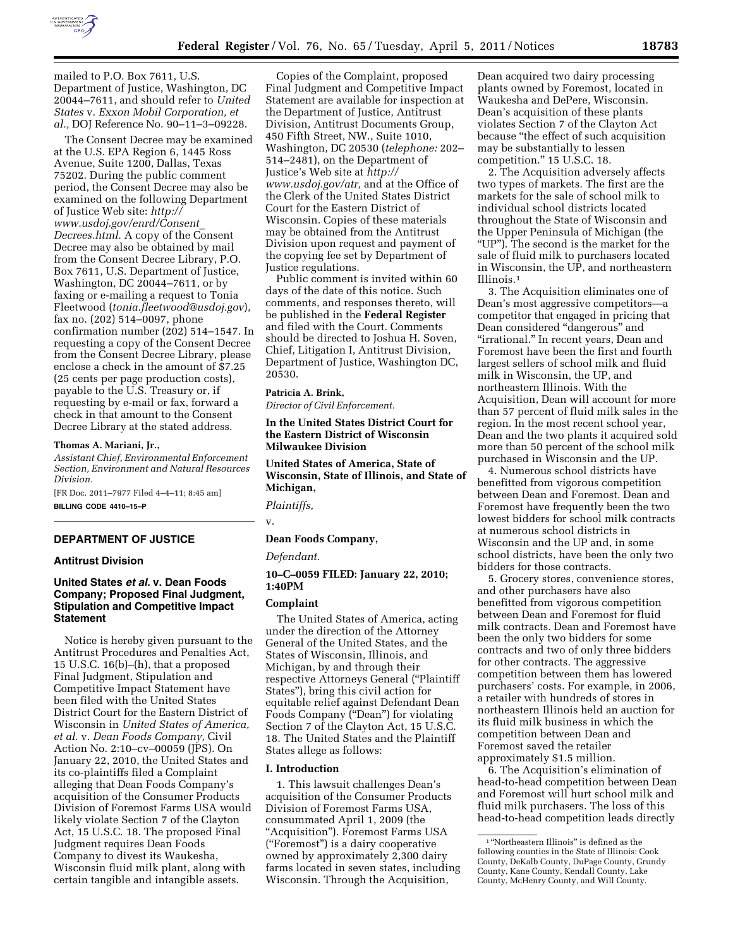

mailed to P.O. Box 7611, U.S. Department of Justice, Washington, DC 20044–7611, and should refer to *United States* v. *Exxon Mobil Corporation, et al.,* DOJ Reference No. 90–11–3–09228.

The Consent Decree may be examined at the U.S. EPA Region 6, 1445 Ross Avenue, Suite 1200, Dallas, Texas 75202. During the public comment period, the Consent Decree may also be examined on the following Department of Justice Web site: *[http://](http://www.usdoj.gov/enrd/Consent_Decrees.html) [www.usdoj.gov/enrd/Consent](http://www.usdoj.gov/enrd/Consent_Decrees.html)*\_ *[Decrees.html.](http://www.usdoj.gov/enrd/Consent_Decrees.html)* A copy of the Consent Decree may also be obtained by mail from the Consent Decree Library, P.O. Box 7611, U.S. Department of Justice, Washington, DC 20044–7611, or by faxing or e-mailing a request to Tonia Fleetwood (*[tonia.fleetwood@usdoj.gov](mailto:tonia.fleetwood@usdoj.gov)*), fax no. (202) 514–0097, phone confirmation number (202) 514–1547. In requesting a copy of the Consent Decree from the Consent Decree Library, please enclose a check in the amount of \$7.25 (25 cents per page production costs), payable to the U.S. Treasury or, if requesting by e-mail or fax, forward a check in that amount to the Consent Decree Library at the stated address.

#### **Thomas A. Mariani, Jr.,**

*Assistant Chief, Environmental Enforcement Section, Environment and Natural Resources Division.* 

[FR Doc. 2011–7977 Filed 4–4–11; 8:45 am]

**BILLING CODE 4410–15–P** 

## **DEPARTMENT OF JUSTICE**

## **Antitrust Division**

## **United States** *et al.* **v. Dean Foods Company; Proposed Final Judgment, Stipulation and Competitive Impact Statement**

Notice is hereby given pursuant to the Antitrust Procedures and Penalties Act, 15 U.S.C. 16(b)–(h), that a proposed Final Judgment, Stipulation and Competitive Impact Statement have been filed with the United States District Court for the Eastern District of Wisconsin in *United States of America, et al.* v. *Dean Foods Company,* Civil Action No. 2:10–cv–00059 (JPS). On January 22, 2010, the United States and its co-plaintiffs filed a Complaint alleging that Dean Foods Company's acquisition of the Consumer Products Division of Foremost Farms USA would likely violate Section 7 of the Clayton Act, 15 U.S.C. 18. The proposed Final Judgment requires Dean Foods Company to divest its Waukesha, Wisconsin fluid milk plant, along with certain tangible and intangible assets.

Copies of the Complaint, proposed Final Judgment and Competitive Impact Statement are available for inspection at the Department of Justice, Antitrust Division, Antitrust Documents Group, 450 Fifth Street, NW., Suite 1010, Washington, DC 20530 (*telephone:* 202– 514–2481), on the Department of Justice's Web site at *[http://](http://www.usdoj.gov/atr)  [www.usdoj.gov/atr,](http://www.usdoj.gov/atr)* and at the Office of the Clerk of the United States District Court for the Eastern District of Wisconsin. Copies of these materials may be obtained from the Antitrust Division upon request and payment of the copying fee set by Department of Justice regulations.

Public comment is invited within 60 days of the date of this notice. Such comments, and responses thereto, will be published in the **Federal Register**  and filed with the Court. Comments should be directed to Joshua H. Soven, Chief, Litigation I, Antitrust Division, Department of Justice, Washington DC, 20530.

## **Patricia A. Brink,**

*Director of Civil Enforcement.* 

**In the United States District Court for the Eastern District of Wisconsin Milwaukee Division** 

**United States of America, State of Wisconsin, State of Illinois, and State of Michigan,** 

*Plaintiffs,* 

v.

## **Dean Foods Company,**

*Defendant.* 

#### **10–C–0059 FILED: January 22, 2010; 1:40PM**

#### **Complaint**

The United States of America, acting under the direction of the Attorney General of the United States, and the States of Wisconsin, Illinois, and Michigan, by and through their respective Attorneys General (''Plaintiff States''), bring this civil action for equitable relief against Defendant Dean Foods Company (''Dean'') for violating Section 7 of the Clayton Act, 15 U.S.C. 18. The United States and the Plaintiff States allege as follows:

#### **I. Introduction**

1. This lawsuit challenges Dean's acquisition of the Consumer Products Division of Foremost Farms USA, consummated April 1, 2009 (the "Acquisition"). Foremost Farms USA (''Foremost'') is a dairy cooperative owned by approximately 2,300 dairy farms located in seven states, including Wisconsin. Through the Acquisition,

Dean acquired two dairy processing plants owned by Foremost, located in Waukesha and DePere, Wisconsin. Dean's acquisition of these plants violates Section 7 of the Clayton Act because ''the effect of such acquisition may be substantially to lessen competition.'' 15 U.S.C. 18.

2. The Acquisition adversely affects two types of markets. The first are the markets for the sale of school milk to individual school districts located throughout the State of Wisconsin and the Upper Peninsula of Michigan (the ''UP''). The second is the market for the sale of fluid milk to purchasers located in Wisconsin, the UP, and northeastern Illinois.1

3. The Acquisition eliminates one of Dean's most aggressive competitors—a competitor that engaged in pricing that Dean considered "dangerous" and ''irrational.'' In recent years, Dean and Foremost have been the first and fourth largest sellers of school milk and fluid milk in Wisconsin, the UP, and northeastern Illinois. With the Acquisition, Dean will account for more than 57 percent of fluid milk sales in the region. In the most recent school year, Dean and the two plants it acquired sold more than 50 percent of the school milk purchased in Wisconsin and the UP.

4. Numerous school districts have benefitted from vigorous competition between Dean and Foremost. Dean and Foremost have frequently been the two lowest bidders for school milk contracts at numerous school districts in Wisconsin and the UP and, in some school districts, have been the only two bidders for those contracts.

5. Grocery stores, convenience stores, and other purchasers have also benefitted from vigorous competition between Dean and Foremost for fluid milk contracts. Dean and Foremost have been the only two bidders for some contracts and two of only three bidders for other contracts. The aggressive competition between them has lowered purchasers' costs. For example, in 2006, a retailer with hundreds of stores in northeastern Illinois held an auction for its fluid milk business in which the competition between Dean and Foremost saved the retailer approximately \$1.5 million.

6. The Acquisition's elimination of head-to-head competition between Dean and Foremost will hurt school milk and fluid milk purchasers. The loss of this head-to-head competition leads directly

 $^{\rm 1\,\textcolor{black}{\bm{\text{a}}} }$  'Northeastern Illinois'' is defined as the following counties in the State of Illinois: Cook County, DeKalb County, DuPage County, Grundy County, Kane County, Kendall County, Lake County, McHenry County, and Will County.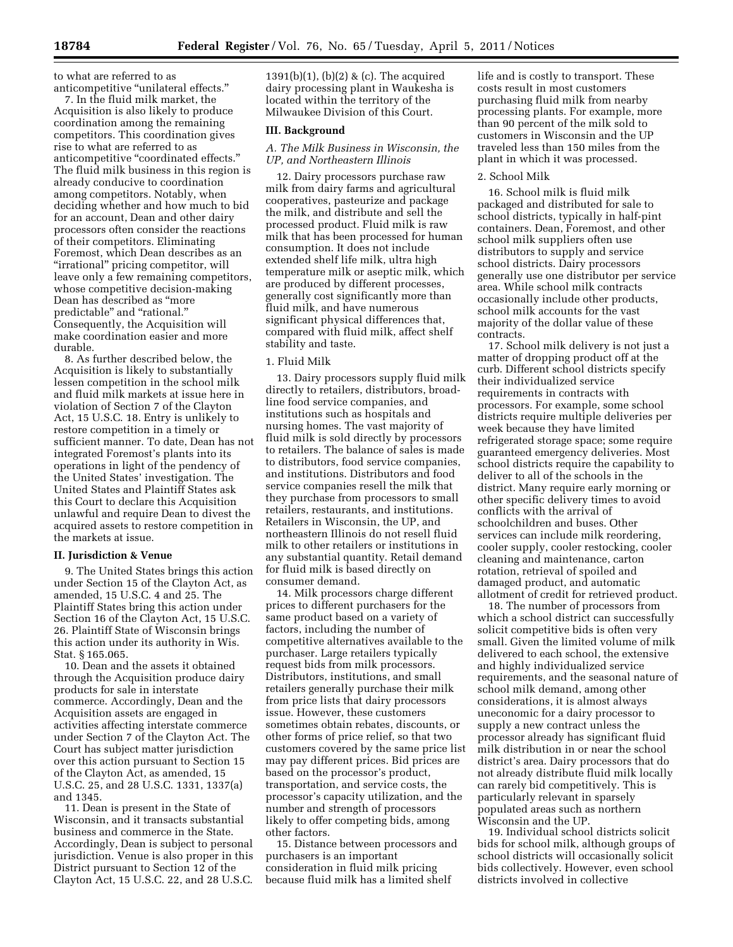to what are referred to as anticompetitive ''unilateral effects.''

7. In the fluid milk market, the Acquisition is also likely to produce coordination among the remaining competitors. This coordination gives rise to what are referred to as anticompetitive "coordinated effects." The fluid milk business in this region is already conducive to coordination among competitors. Notably, when deciding whether and how much to bid for an account, Dean and other dairy processors often consider the reactions of their competitors. Eliminating Foremost, which Dean describes as an ''irrational'' pricing competitor, will leave only a few remaining competitors, whose competitive decision-making Dean has described as ''more predictable'' and ''rational.'' Consequently, the Acquisition will make coordination easier and more durable.

8. As further described below, the Acquisition is likely to substantially lessen competition in the school milk and fluid milk markets at issue here in violation of Section 7 of the Clayton Act, 15 U.S.C. 18. Entry is unlikely to restore competition in a timely or sufficient manner. To date, Dean has not integrated Foremost's plants into its operations in light of the pendency of the United States' investigation. The United States and Plaintiff States ask this Court to declare this Acquisition unlawful and require Dean to divest the acquired assets to restore competition in the markets at issue.

#### **II. Jurisdiction & Venue**

9. The United States brings this action under Section 15 of the Clayton Act, as amended, 15 U.S.C. 4 and 25. The Plaintiff States bring this action under Section 16 of the Clayton Act, 15 U.S.C. 26. Plaintiff State of Wisconsin brings this action under its authority in Wis. Stat. § 165.065.

10. Dean and the assets it obtained through the Acquisition produce dairy products for sale in interstate commerce. Accordingly, Dean and the Acquisition assets are engaged in activities affecting interstate commerce under Section 7 of the Clayton Act. The Court has subject matter jurisdiction over this action pursuant to Section 15 of the Clayton Act, as amended, 15 U.S.C. 25, and 28 U.S.C. 1331, 1337(a) and 1345.

11. Dean is present in the State of Wisconsin, and it transacts substantial business and commerce in the State. Accordingly, Dean is subject to personal jurisdiction. Venue is also proper in this District pursuant to Section 12 of the Clayton Act, 15 U.S.C. 22, and 28 U.S.C.

1391(b)(1), (b)(2) & (c). The acquired dairy processing plant in Waukesha is located within the territory of the Milwaukee Division of this Court.

#### **III. Background**

## *A. The Milk Business in Wisconsin, the UP, and Northeastern Illinois*

12. Dairy processors purchase raw milk from dairy farms and agricultural cooperatives, pasteurize and package the milk, and distribute and sell the processed product. Fluid milk is raw milk that has been processed for human consumption. It does not include extended shelf life milk, ultra high temperature milk or aseptic milk, which are produced by different processes, generally cost significantly more than fluid milk, and have numerous significant physical differences that, compared with fluid milk, affect shelf stability and taste.

#### 1. Fluid Milk

13. Dairy processors supply fluid milk directly to retailers, distributors, broadline food service companies, and institutions such as hospitals and nursing homes. The vast majority of fluid milk is sold directly by processors to retailers. The balance of sales is made to distributors, food service companies, and institutions. Distributors and food service companies resell the milk that they purchase from processors to small retailers, restaurants, and institutions. Retailers in Wisconsin, the UP, and northeastern Illinois do not resell fluid milk to other retailers or institutions in any substantial quantity. Retail demand for fluid milk is based directly on consumer demand.

14. Milk processors charge different prices to different purchasers for the same product based on a variety of factors, including the number of competitive alternatives available to the purchaser. Large retailers typically request bids from milk processors. Distributors, institutions, and small retailers generally purchase their milk from price lists that dairy processors issue. However, these customers sometimes obtain rebates, discounts, or other forms of price relief, so that two customers covered by the same price list may pay different prices. Bid prices are based on the processor's product, transportation, and service costs, the processor's capacity utilization, and the number and strength of processors likely to offer competing bids, among other factors.

15. Distance between processors and purchasers is an important consideration in fluid milk pricing because fluid milk has a limited shelf

life and is costly to transport. These costs result in most customers purchasing fluid milk from nearby processing plants. For example, more than 90 percent of the milk sold to customers in Wisconsin and the UP traveled less than 150 miles from the plant in which it was processed.

## 2. School Milk

16. School milk is fluid milk packaged and distributed for sale to school districts, typically in half-pint containers. Dean, Foremost, and other school milk suppliers often use distributors to supply and service school districts. Dairy processors generally use one distributor per service area. While school milk contracts occasionally include other products, school milk accounts for the vast majority of the dollar value of these contracts.

17. School milk delivery is not just a matter of dropping product off at the curb. Different school districts specify their individualized service requirements in contracts with processors. For example, some school districts require multiple deliveries per week because they have limited refrigerated storage space; some require guaranteed emergency deliveries. Most school districts require the capability to deliver to all of the schools in the district. Many require early morning or other specific delivery times to avoid conflicts with the arrival of schoolchildren and buses. Other services can include milk reordering, cooler supply, cooler restocking, cooler cleaning and maintenance, carton rotation, retrieval of spoiled and damaged product, and automatic allotment of credit for retrieved product.

18. The number of processors from which a school district can successfully solicit competitive bids is often very small. Given the limited volume of milk delivered to each school, the extensive and highly individualized service requirements, and the seasonal nature of school milk demand, among other considerations, it is almost always uneconomic for a dairy processor to supply a new contract unless the processor already has significant fluid milk distribution in or near the school district's area. Dairy processors that do not already distribute fluid milk locally can rarely bid competitively. This is particularly relevant in sparsely populated areas such as northern Wisconsin and the UP.

19. Individual school districts solicit bids for school milk, although groups of school districts will occasionally solicit bids collectively. However, even school districts involved in collective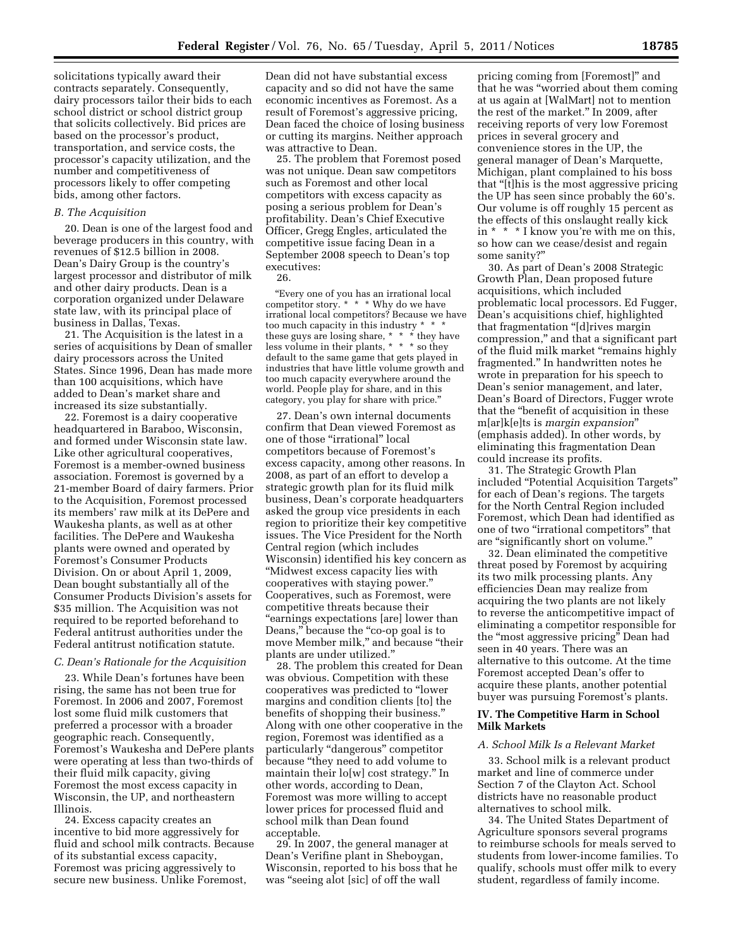solicitations typically award their contracts separately. Consequently, dairy processors tailor their bids to each school district or school district group that solicits collectively. Bid prices are based on the processor's product, transportation, and service costs, the processor's capacity utilization, and the number and competitiveness of processors likely to offer competing bids, among other factors.

#### *B. The Acquisition*

20. Dean is one of the largest food and beverage producers in this country, with revenues of \$12.5 billion in 2008. Dean's Dairy Group is the country's largest processor and distributor of milk and other dairy products. Dean is a corporation organized under Delaware state law, with its principal place of business in Dallas, Texas.

21. The Acquisition is the latest in a series of acquisitions by Dean of smaller dairy processors across the United States. Since 1996, Dean has made more than 100 acquisitions, which have added to Dean's market share and increased its size substantially.

22. Foremost is a dairy cooperative headquartered in Baraboo, Wisconsin, and formed under Wisconsin state law. Like other agricultural cooperatives, Foremost is a member-owned business association. Foremost is governed by a 21-member Board of dairy farmers. Prior to the Acquisition, Foremost processed its members' raw milk at its DePere and Waukesha plants, as well as at other facilities. The DePere and Waukesha plants were owned and operated by Foremost's Consumer Products Division. On or about April 1, 2009, Dean bought substantially all of the Consumer Products Division's assets for \$35 million. The Acquisition was not required to be reported beforehand to Federal antitrust authorities under the Federal antitrust notification statute.

## *C. Dean's Rationale for the Acquisition*

23. While Dean's fortunes have been rising, the same has not been true for Foremost. In 2006 and 2007, Foremost lost some fluid milk customers that preferred a processor with a broader geographic reach. Consequently, Foremost's Waukesha and DePere plants were operating at less than two-thirds of their fluid milk capacity, giving Foremost the most excess capacity in Wisconsin, the UP, and northeastern Illinois.

24. Excess capacity creates an incentive to bid more aggressively for fluid and school milk contracts. Because of its substantial excess capacity, Foremost was pricing aggressively to secure new business. Unlike Foremost,

Dean did not have substantial excess capacity and so did not have the same economic incentives as Foremost. As a result of Foremost's aggressive pricing, Dean faced the choice of losing business or cutting its margins. Neither approach was attractive to Dean.

25. The problem that Foremost posed was not unique. Dean saw competitors such as Foremost and other local competitors with excess capacity as posing a serious problem for Dean's profitability. Dean's Chief Executive Officer, Gregg Engles, articulated the competitive issue facing Dean in a September 2008 speech to Dean's top executives:

#### 26.

''Every one of you has an irrational local competitor story. \* \* \* Why do we have irrational local competitors? Because we have too much capacity in this industry \* \* \* these guys are losing share, \* \* \* they have less volume in their plants, \* \* \* so they default to the same game that gets played in industries that have little volume growth and too much capacity everywhere around the world. People play for share, and in this category, you play for share with price.''

27. Dean's own internal documents confirm that Dean viewed Foremost as one of those ''irrational'' local competitors because of Foremost's excess capacity, among other reasons. In 2008, as part of an effort to develop a strategic growth plan for its fluid milk business, Dean's corporate headquarters asked the group vice presidents in each region to prioritize their key competitive issues. The Vice President for the North Central region (which includes Wisconsin) identified his key concern as ''Midwest excess capacity lies with cooperatives with staying power.'' Cooperatives, such as Foremost, were competitive threats because their ''earnings expectations [are] lower than Deans," because the "co-op goal is to move Member milk,'' and because ''their plants are under utilized.''

28. The problem this created for Dean was obvious. Competition with these cooperatives was predicted to ''lower margins and condition clients [to] the benefits of shopping their business.'' Along with one other cooperative in the region, Foremost was identified as a particularly ''dangerous'' competitor because ''they need to add volume to maintain their lo[w] cost strategy.'' In other words, according to Dean, Foremost was more willing to accept lower prices for processed fluid and school milk than Dean found acceptable.

29. In 2007, the general manager at Dean's Verifine plant in Sheboygan, Wisconsin, reported to his boss that he was ''seeing alot [sic] of off the wall

pricing coming from [Foremost]'' and that he was ''worried about them coming at us again at [WalMart] not to mention the rest of the market.'' In 2009, after receiving reports of very low Foremost prices in several grocery and convenience stores in the UP, the general manager of Dean's Marquette, Michigan, plant complained to his boss that ''[t]his is the most aggressive pricing the UP has seen since probably the 60's. Our volume is off roughly 15 percent as the effects of this onslaught really kick in \* \* \* I know you're with me on this, so how can we cease/desist and regain some sanity?''

30. As part of Dean's 2008 Strategic Growth Plan, Dean proposed future acquisitions, which included problematic local processors. Ed Fugger, Dean's acquisitions chief, highlighted that fragmentation "[d]rives margin compression,'' and that a significant part of the fluid milk market ''remains highly fragmented.'' In handwritten notes he wrote in preparation for his speech to Dean's senior management, and later, Dean's Board of Directors, Fugger wrote that the ''benefit of acquisition in these m[ar]k[e]ts is *margin expansion*'' (emphasis added). In other words, by eliminating this fragmentation Dean could increase its profits.

31. The Strategic Growth Plan included ''Potential Acquisition Targets'' for each of Dean's regions. The targets for the North Central Region included Foremost, which Dean had identified as one of two ''irrational competitors'' that are ''significantly short on volume.''

32. Dean eliminated the competitive threat posed by Foremost by acquiring its two milk processing plants. Any efficiencies Dean may realize from acquiring the two plants are not likely to reverse the anticompetitive impact of eliminating a competitor responsible for the ''most aggressive pricing'' Dean had seen in 40 years. There was an alternative to this outcome. At the time Foremost accepted Dean's offer to acquire these plants, another potential buyer was pursuing Foremost's plants.

## **IV. The Competitive Harm in School Milk Markets**

#### *A. School Milk Is a Relevant Market*

33. School milk is a relevant product market and line of commerce under Section 7 of the Clayton Act. School districts have no reasonable product alternatives to school milk.

34. The United States Department of Agriculture sponsors several programs to reimburse schools for meals served to students from lower-income families. To qualify, schools must offer milk to every student, regardless of family income.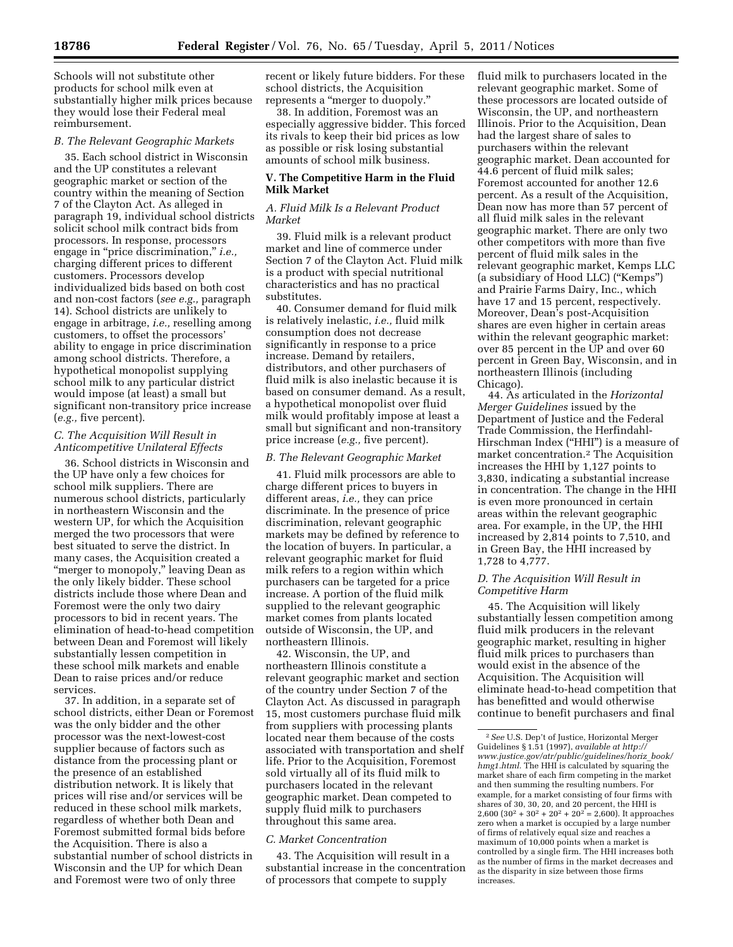Schools will not substitute other products for school milk even at substantially higher milk prices because they would lose their Federal meal reimbursement.

## *B. The Relevant Geographic Markets*

35. Each school district in Wisconsin and the UP constitutes a relevant geographic market or section of the country within the meaning of Section 7 of the Clayton Act. As alleged in paragraph 19, individual school districts solicit school milk contract bids from processors. In response, processors engage in "price discrimination," *i.e.*, charging different prices to different customers. Processors develop individualized bids based on both cost and non-cost factors (*see e.g.,* paragraph 14). School districts are unlikely to engage in arbitrage, *i.e.,* reselling among customers, to offset the processors' ability to engage in price discrimination among school districts. Therefore, a hypothetical monopolist supplying school milk to any particular district would impose (at least) a small but significant non-transitory price increase (*e.g.,* five percent).

## *C. The Acquisition Will Result in Anticompetitive Unilateral Effects*

36. School districts in Wisconsin and the UP have only a few choices for school milk suppliers. There are numerous school districts, particularly in northeastern Wisconsin and the western UP, for which the Acquisition merged the two processors that were best situated to serve the district. In many cases, the Acquisition created a "merger to monopoly," leaving Dean as the only likely bidder. These school districts include those where Dean and Foremost were the only two dairy processors to bid in recent years. The elimination of head-to-head competition between Dean and Foremost will likely substantially lessen competition in these school milk markets and enable Dean to raise prices and/or reduce services.

37. In addition, in a separate set of school districts, either Dean or Foremost was the only bidder and the other processor was the next-lowest-cost supplier because of factors such as distance from the processing plant or the presence of an established distribution network. It is likely that prices will rise and/or services will be reduced in these school milk markets, regardless of whether both Dean and Foremost submitted formal bids before the Acquisition. There is also a substantial number of school districts in Wisconsin and the UP for which Dean and Foremost were two of only three

recent or likely future bidders. For these school districts, the Acquisition represents a ''merger to duopoly.''

38. In addition, Foremost was an especially aggressive bidder. This forced its rivals to keep their bid prices as low as possible or risk losing substantial amounts of school milk business.

## **V. The Competitive Harm in the Fluid Milk Market**

#### *A. Fluid Milk Is a Relevant Product Market*

39. Fluid milk is a relevant product market and line of commerce under Section 7 of the Clayton Act. Fluid milk is a product with special nutritional characteristics and has no practical substitutes.

40. Consumer demand for fluid milk is relatively inelastic, *i.e.,* fluid milk consumption does not decrease significantly in response to a price increase. Demand by retailers, distributors, and other purchasers of fluid milk is also inelastic because it is based on consumer demand. As a result, a hypothetical monopolist over fluid milk would profitably impose at least a small but significant and non-transitory price increase (*e.g.,* five percent).

## *B. The Relevant Geographic Market*

41. Fluid milk processors are able to charge different prices to buyers in different areas, *i.e.,* they can price discriminate. In the presence of price discrimination, relevant geographic markets may be defined by reference to the location of buyers. In particular, a relevant geographic market for fluid milk refers to a region within which purchasers can be targeted for a price increase. A portion of the fluid milk supplied to the relevant geographic market comes from plants located outside of Wisconsin, the UP, and northeastern Illinois.

42. Wisconsin, the UP, and northeastern Illinois constitute a relevant geographic market and section of the country under Section 7 of the Clayton Act. As discussed in paragraph 15, most customers purchase fluid milk from suppliers with processing plants located near them because of the costs associated with transportation and shelf life. Prior to the Acquisition, Foremost sold virtually all of its fluid milk to purchasers located in the relevant geographic market. Dean competed to supply fluid milk to purchasers throughout this same area.

#### *C. Market Concentration*

43. The Acquisition will result in a substantial increase in the concentration of processors that compete to supply

fluid milk to purchasers located in the relevant geographic market. Some of these processors are located outside of Wisconsin, the UP, and northeastern Illinois. Prior to the Acquisition, Dean had the largest share of sales to purchasers within the relevant geographic market. Dean accounted for 44.6 percent of fluid milk sales; Foremost accounted for another 12.6 percent. As a result of the Acquisition, Dean now has more than 57 percent of all fluid milk sales in the relevant geographic market. There are only two other competitors with more than five percent of fluid milk sales in the relevant geographic market, Kemps LLC (a subsidiary of Hood LLC) (''Kemps'') and Prairie Farms Dairy, Inc., which have 17 and 15 percent, respectively. Moreover, Dean's post-Acquisition shares are even higher in certain areas within the relevant geographic market: over 85 percent in the UP and over 60 percent in Green Bay, Wisconsin, and in northeastern Illinois (including Chicago).

44. As articulated in the *Horizontal Merger Guidelines* issued by the Department of Justice and the Federal Trade Commission, the Herfindahl-Hirschman Index ("HHI") is a measure of market concentration.2 The Acquisition increases the HHI by 1,127 points to 3,830, indicating a substantial increase in concentration. The change in the HHI is even more pronounced in certain areas within the relevant geographic area. For example, in the UP, the HHI increased by 2,814 points to 7,510, and in Green Bay, the HHI increased by 1,728 to 4,777.

## *D. The Acquisition Will Result in Competitive Harm*

45. The Acquisition will likely substantially lessen competition among fluid milk producers in the relevant geographic market, resulting in higher fluid milk prices to purchasers than would exist in the absence of the Acquisition. The Acquisition will eliminate head-to-head competition that has benefitted and would otherwise continue to benefit purchasers and final

<sup>2</sup>*See* U.S. Dep't of Justice, Horizontal Merger Guidelines § 1.51 (1997), *available at [http://](http://www.justice.gov/atr/public/guidelines/horiz_book/hmg1.html)  [www.justice.gov/atr/public/guidelines/horiz](http://www.justice.gov/atr/public/guidelines/horiz_book/hmg1.html)*\_*book/ [hmg1.html.](http://www.justice.gov/atr/public/guidelines/horiz_book/hmg1.html)* The HHI is calculated by squaring the market share of each firm competing in the market and then summing the resulting numbers. For example, for a market consisting of four firms with shares of 30, 30, 20, and 20 percent, the HHI is 2,600  $(30^2 + 30^2 + 20^2 + 20^2 = 2,600)$ . It approaches zero when a market is occupied by a large number of firms of relatively equal size and reaches a maximum of 10,000 points when a market is controlled by a single firm. The HHI increases both as the number of firms in the market decreases and as the disparity in size between those firms increases.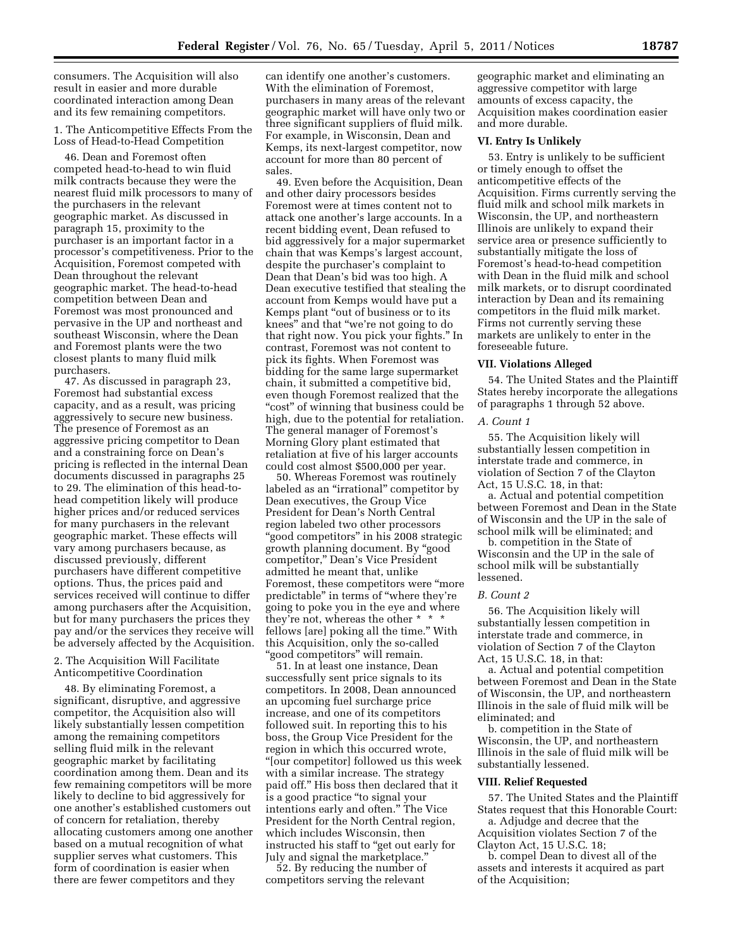consumers. The Acquisition will also result in easier and more durable coordinated interaction among Dean and its few remaining competitors.

1. The Anticompetitive Effects From the Loss of Head-to-Head Competition

46. Dean and Foremost often competed head-to-head to win fluid milk contracts because they were the nearest fluid milk processors to many of the purchasers in the relevant geographic market. As discussed in paragraph 15, proximity to the purchaser is an important factor in a processor's competitiveness. Prior to the Acquisition, Foremost competed with Dean throughout the relevant geographic market. The head-to-head competition between Dean and Foremost was most pronounced and pervasive in the UP and northeast and southeast Wisconsin, where the Dean and Foremost plants were the two closest plants to many fluid milk purchasers.

47. As discussed in paragraph 23, Foremost had substantial excess capacity, and as a result, was pricing aggressively to secure new business. The presence of Foremost as an aggressive pricing competitor to Dean and a constraining force on Dean's pricing is reflected in the internal Dean documents discussed in paragraphs 25 to 29. The elimination of this head-tohead competition likely will produce higher prices and/or reduced services for many purchasers in the relevant geographic market. These effects will vary among purchasers because, as discussed previously, different purchasers have different competitive options. Thus, the prices paid and services received will continue to differ among purchasers after the Acquisition, but for many purchasers the prices they pay and/or the services they receive will be adversely affected by the Acquisition.

## 2. The Acquisition Will Facilitate Anticompetitive Coordination

48. By eliminating Foremost, a significant, disruptive, and aggressive competitor, the Acquisition also will likely substantially lessen competition among the remaining competitors selling fluid milk in the relevant geographic market by facilitating coordination among them. Dean and its few remaining competitors will be more likely to decline to bid aggressively for one another's established customers out of concern for retaliation, thereby allocating customers among one another based on a mutual recognition of what supplier serves what customers. This form of coordination is easier when there are fewer competitors and they

can identify one another's customers. With the elimination of Foremost, purchasers in many areas of the relevant geographic market will have only two or three significant suppliers of fluid milk. For example, in Wisconsin, Dean and Kemps, its next-largest competitor, now account for more than 80 percent of sales.

49. Even before the Acquisition, Dean and other dairy processors besides Foremost were at times content not to attack one another's large accounts. In a recent bidding event, Dean refused to bid aggressively for a major supermarket chain that was Kemps's largest account, despite the purchaser's complaint to Dean that Dean's bid was too high. A Dean executive testified that stealing the account from Kemps would have put a Kemps plant ''out of business or to its knees'' and that ''we're not going to do that right now. You pick your fights.'' In contrast, Foremost was not content to pick its fights. When Foremost was bidding for the same large supermarket chain, it submitted a competitive bid, even though Foremost realized that the ''cost'' of winning that business could be high, due to the potential for retaliation. The general manager of Foremost's Morning Glory plant estimated that retaliation at five of his larger accounts could cost almost \$500,000 per year.

50. Whereas Foremost was routinely labeled as an ''irrational'' competitor by Dean executives, the Group Vice President for Dean's North Central region labeled two other processors ''good competitors'' in his 2008 strategic growth planning document. By ''good competitor,'' Dean's Vice President admitted he meant that, unlike Foremost, these competitors were ''more predictable'' in terms of ''where they're going to poke you in the eye and where they're not, whereas the other \* \* \* fellows [are] poking all the time.'' With this Acquisition, only the so-called ''good competitors'' will remain.

51. In at least one instance, Dean successfully sent price signals to its competitors. In 2008, Dean announced an upcoming fuel surcharge price increase, and one of its competitors followed suit. In reporting this to his boss, the Group Vice President for the region in which this occurred wrote, ''[our competitor] followed us this week with a similar increase. The strategy paid off.'' His boss then declared that it is a good practice ''to signal your intentions early and often.'' The Vice President for the North Central region, which includes Wisconsin, then instructed his staff to ''get out early for July and signal the marketplace.''

52. By reducing the number of competitors serving the relevant

geographic market and eliminating an aggressive competitor with large amounts of excess capacity, the Acquisition makes coordination easier and more durable.

#### **VI. Entry Is Unlikely**

53. Entry is unlikely to be sufficient or timely enough to offset the anticompetitive effects of the Acquisition. Firms currently serving the fluid milk and school milk markets in Wisconsin, the UP, and northeastern Illinois are unlikely to expand their service area or presence sufficiently to substantially mitigate the loss of Foremost's head-to-head competition with Dean in the fluid milk and school milk markets, or to disrupt coordinated interaction by Dean and its remaining competitors in the fluid milk market. Firms not currently serving these markets are unlikely to enter in the foreseeable future.

#### **VII. Violations Alleged**

54. The United States and the Plaintiff States hereby incorporate the allegations of paragraphs 1 through 52 above.

#### *A. Count 1*

55. The Acquisition likely will substantially lessen competition in interstate trade and commerce, in violation of Section 7 of the Clayton Act, 15 U.S.C. 18, in that:

a. Actual and potential competition between Foremost and Dean in the State of Wisconsin and the UP in the sale of school milk will be eliminated; and

b. competition in the State of Wisconsin and the UP in the sale of school milk will be substantially lessened.

#### *B. Count 2*

56. The Acquisition likely will substantially lessen competition in interstate trade and commerce, in violation of Section 7 of the Clayton Act, 15 U.S.C. 18, in that:

a. Actual and potential competition between Foremost and Dean in the State of Wisconsin, the UP, and northeastern Illinois in the sale of fluid milk will be eliminated; and

b. competition in the State of Wisconsin, the UP, and northeastern Illinois in the sale of fluid milk will be substantially lessened.

## **VIII. Relief Requested**

57. The United States and the Plaintiff States request that this Honorable Court:

a. Adjudge and decree that the Acquisition violates Section 7 of the Clayton Act, 15 U.S.C. 18;

b. compel Dean to divest all of the assets and interests it acquired as part of the Acquisition;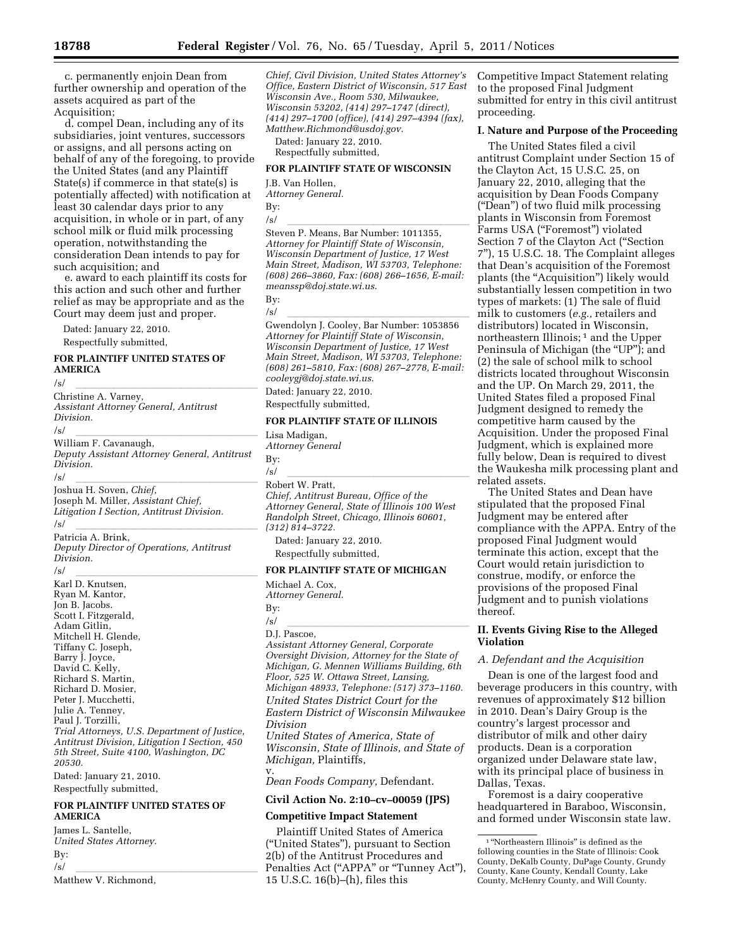c. permanently enjoin Dean from further ownership and operation of the assets acquired as part of the Acquisition;

d. compel Dean, including any of its subsidiaries, joint ventures, successors or assigns, and all persons acting on behalf of any of the foregoing, to provide the United States (and any Plaintiff State(s) if commerce in that state(s) is potentially affected) with notification at least 30 calendar days prior to any acquisition, in whole or in part, of any school milk or fluid milk processing operation, notwithstanding the consideration Dean intends to pay for such acquisition; and

e. award to each plaintiff its costs for this action and such other and further relief as may be appropriate and as the Court may deem just and proper.

Dated: January 22, 2010.

Respectfully submitted,

## **FOR PLAINTIFF UNITED STATES OF AMERICA**

/s/ lllllllllllllllllll Christine A. Varney, *Assistant Attorney General, Antitrust Division.* 

/s/<br>William F. Cavanaugh, *Deputy Assistant Attorney General, Antitrust Division.* 

/s/ lllllllllllllllllll Joshua H. Soven, *Chief,*  Joseph M. Miller, *Assistant Chief,* 

*Litigation I Section, Antitrust Division.*  /s/<br>Patricia A. Brink,

*Deputy Director of Operations, Antitrust Division.* 

/s/<br>Karl D. Knutsen, **llerikling (b. 1919)** Ryan M. Kantor, Jon B. Jacobs. Scott I. Fitzgerald, Adam Gitlin, Mitchell H. Glende, Tiffany C. Joseph, Barry J. Joyce, David C. Kelly, Richard S. Martin, Richard D. Mosier, Peter J. Mucchetti, Julie A. Tenney, Paul J. Torzilli, *Trial Attorneys, U.S. Department of Justice, Antitrust Division, Litigation I Section, 450 5th Street, Suite 4100, Washington, DC 20530.* 

Dated: January 21, 2010. Respectfully submitted,

#### **FOR PLAINTIFF UNITED STATES OF AMERICA**

James L. Santelle, *United States Attorney.*  By: /s/<br>Matthew V. Richmond,

*Chief, Civil Division, United States Attorney's Office, Eastern District of Wisconsin, 517 East Wisconsin Ave., Room 530, Milwaukee, Wisconsin 53202, (414) 297–1747 (direct), (414) 297–1700 (office), (414) 297–4394 (fax), Matthew.Richmond@usdoj.gov.* 

Dated: January 22, 2010. Respectfully submitted,

#### **FOR PLAINTIFF STATE OF WISCONSIN**

J.B. Van Hollen, *Attorney General.* 

By:

/s/<br>Steven P. Means, Bar Number: 1011355, *Attorney for Plaintiff State of Wisconsin, Wisconsin Department of Justice, 17 West Main Street, Madison, WI 53703, Telephone: (608) 266–3860, Fax: (608) 266–1656, E-mail: [meanssp@doj.state.wi.us](mailto:meanssp@doj.state.wi.us)*.

By:

/s/<br>Gwendolyn J. Cooley, Bar Number: 1053856 *Attorney for Plaintiff State of Wisconsin, Wisconsin Department of Justice, 17 West Main Street, Madison, WI 53703, Telephone: (608) 261–5810, Fax: (608) 267–2778, E-mail: [cooleygj@doj.state.wi.us](mailto:cooleygj@doj.state.wi.us)*.

Dated: January 22, 2010.

Respectfully submitted,

## **FOR PLAINTIFF STATE OF ILLINOIS**

Lisa Madigan, *Attorney General*  By:

/s/<br>Robert W. Pratt, *Chief, Antitrust Bureau, Office of the Attorney General, State of Illinois 100 West Randolph Street, Chicago, Illinois 60601, (312) 814–3722.* 

Dated: January 22, 2010. Respectfully submitted,

#### **FOR PLAINTIFF STATE OF MICHIGAN**

Michael A. Cox, *Attorney General.*  By:

#### $\frac{1}{\ln L}$   $\frac{1}{\ln 2}$   $\frac{1}{\ln 2}$   $\frac{1}{\ln 2}$   $\frac{1}{\ln 2}$   $\frac{1}{\ln 2}$   $\frac{1}{\ln 2}$   $\frac{1}{\ln 2}$   $\frac{1}{\ln 2}$   $\frac{1}{\ln 2}$   $\frac{1}{\ln 2}$   $\frac{1}{\ln 2}$   $\frac{1}{\ln 2}$   $\frac{1}{\ln 2}$   $\frac{1}{\ln 2}$   $\frac{1}{\ln 2}$   $\frac{1}{\ln 2}$  D.J. Pascoe,

*Assistant Attorney General, Corporate Oversight Division, Attorney for the State of Michigan, G. Mennen Williams Building, 6th Floor, 525 W. Ottawa Street, Lansing, Michigan 48933, Telephone: (517) 373–1160.* 

*United States District Court for the Eastern District of Wisconsin Milwaukee Division* 

*United States of America, State of Wisconsin, State of Illinois, and State of Michigan,* Plaintiffs,

v. *Dean Foods Company,* Defendant.

**Civil Action No. 2:10–cv–00059 (JPS)** 

#### **Competitive Impact Statement**

Plaintiff United States of America (''United States''), pursuant to Section 2(b) of the Antitrust Procedures and Penalties Act ("APPA" or "Tunney Act"), 15 U.S.C. 16(b)–(h), files this

Competitive Impact Statement relating to the proposed Final Judgment submitted for entry in this civil antitrust proceeding.

## **I. Nature and Purpose of the Proceeding**

The United States filed a civil antitrust Complaint under Section 15 of the Clayton Act, 15 U.S.C. 25, on January 22, 2010, alleging that the acquisition by Dean Foods Company (''Dean'') of two fluid milk processing plants in Wisconsin from Foremost Farms USA (''Foremost'') violated Section 7 of the Clayton Act (''Section 7''), 15 U.S.C. 18. The Complaint alleges that Dean's acquisition of the Foremost plants (the ''Acquisition'') likely would substantially lessen competition in two types of markets: (1) The sale of fluid milk to customers (*e.g.,* retailers and distributors) located in Wisconsin, northeastern Illinois;<sup>1</sup> and the Upper Peninsula of Michigan (the "UP"); and (2) the sale of school milk to school districts located throughout Wisconsin and the UP. On March 29, 2011, the United States filed a proposed Final Judgment designed to remedy the competitive harm caused by the Acquisition. Under the proposed Final Judgment, which is explained more fully below, Dean is required to divest the Waukesha milk processing plant and related assets.

The United States and Dean have stipulated that the proposed Final Judgment may be entered after compliance with the APPA. Entry of the proposed Final Judgment would terminate this action, except that the Court would retain jurisdiction to construe, modify, or enforce the provisions of the proposed Final Judgment and to punish violations thereof.

## **II. Events Giving Rise to the Alleged Violation**

#### *A. Defendant and the Acquisition*

Dean is one of the largest food and beverage producers in this country, with revenues of approximately \$12 billion in 2010. Dean's Dairy Group is the country's largest processor and distributor of milk and other dairy products. Dean is a corporation organized under Delaware state law, with its principal place of business in Dallas, Texas.

Foremost is a dairy cooperative headquartered in Baraboo, Wisconsin, and formed under Wisconsin state law.

 $^{\rm 1\,\textcolor{black}{\bm{\text{a}}} }$  'Northeastern Illinois'' is defined as the following counties in the State of Illinois: Cook County, DeKalb County, DuPage County, Grundy County, Kane County, Kendall County, Lake County, McHenry County, and Will County.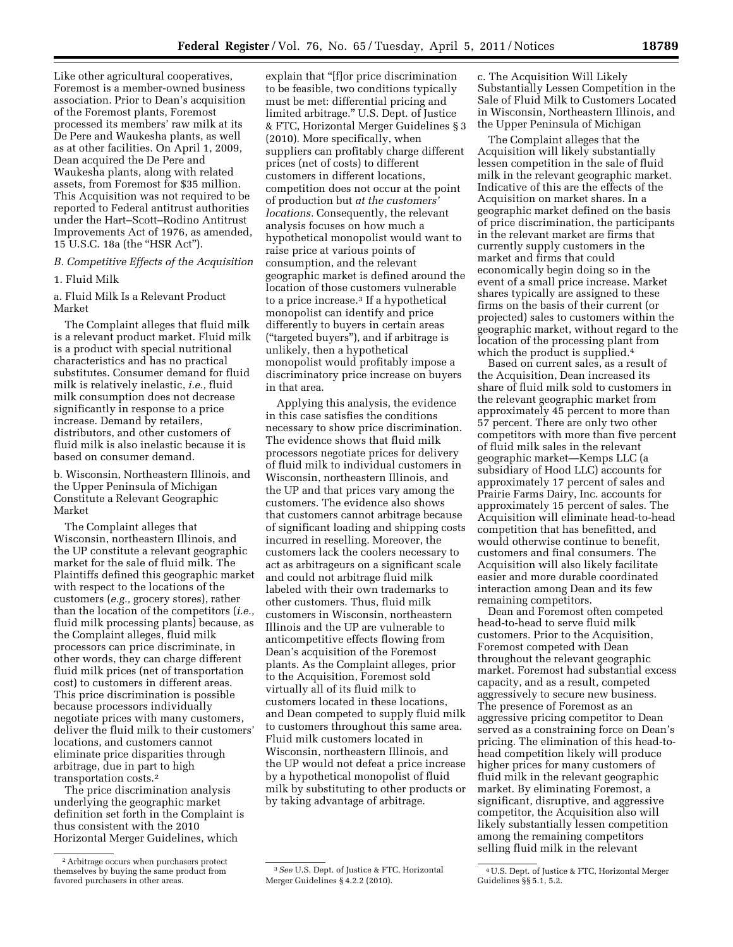Like other agricultural cooperatives, Foremost is a member-owned business association. Prior to Dean's acquisition of the Foremost plants, Foremost processed its members' raw milk at its De Pere and Waukesha plants, as well as at other facilities. On April 1, 2009, Dean acquired the De Pere and Waukesha plants, along with related assets, from Foremost for \$35 million. This Acquisition was not required to be reported to Federal antitrust authorities under the Hart–Scott–Rodino Antitrust Improvements Act of 1976, as amended, 15 U.S.C. 18a (the "HSR Act").

*B. Competitive Effects of the Acquisition* 

1. Fluid Milk

a. Fluid Milk Is a Relevant Product Market

The Complaint alleges that fluid milk is a relevant product market. Fluid milk is a product with special nutritional characteristics and has no practical substitutes. Consumer demand for fluid milk is relatively inelastic, *i.e.,* fluid milk consumption does not decrease significantly in response to a price increase. Demand by retailers, distributors, and other customers of fluid milk is also inelastic because it is based on consumer demand.

b. Wisconsin, Northeastern Illinois, and the Upper Peninsula of Michigan Constitute a Relevant Geographic Market

The Complaint alleges that Wisconsin, northeastern Illinois, and the UP constitute a relevant geographic market for the sale of fluid milk. The Plaintiffs defined this geographic market with respect to the locations of the customers (*e.g.,* grocery stores), rather than the location of the competitors (*i.e.,*  fluid milk processing plants) because, as the Complaint alleges, fluid milk processors can price discriminate, in other words, they can charge different fluid milk prices (net of transportation cost) to customers in different areas. This price discrimination is possible because processors individually negotiate prices with many customers, deliver the fluid milk to their customers' locations, and customers cannot eliminate price disparities through arbitrage, due in part to high transportation costs.2

The price discrimination analysis underlying the geographic market definition set forth in the Complaint is thus consistent with the 2010 Horizontal Merger Guidelines, which

explain that "[f]or price discrimination to be feasible, two conditions typically must be met: differential pricing and limited arbitrage.'' U.S. Dept. of Justice & FTC, Horizontal Merger Guidelines § 3 (2010). More specifically, when suppliers can profitably charge different prices (net of costs) to different customers in different locations, competition does not occur at the point of production but *at the customers' locations.* Consequently, the relevant analysis focuses on how much a hypothetical monopolist would want to raise price at various points of consumption, and the relevant geographic market is defined around the location of those customers vulnerable to a price increase.3 If a hypothetical monopolist can identify and price differently to buyers in certain areas (''targeted buyers''), and if arbitrage is unlikely, then a hypothetical monopolist would profitably impose a discriminatory price increase on buyers in that area.

Applying this analysis, the evidence in this case satisfies the conditions necessary to show price discrimination. The evidence shows that fluid milk processors negotiate prices for delivery of fluid milk to individual customers in Wisconsin, northeastern Illinois, and the UP and that prices vary among the customers. The evidence also shows that customers cannot arbitrage because of significant loading and shipping costs incurred in reselling. Moreover, the customers lack the coolers necessary to act as arbitrageurs on a significant scale and could not arbitrage fluid milk labeled with their own trademarks to other customers. Thus, fluid milk customers in Wisconsin, northeastern Illinois and the UP are vulnerable to anticompetitive effects flowing from Dean's acquisition of the Foremost plants. As the Complaint alleges, prior to the Acquisition, Foremost sold virtually all of its fluid milk to customers located in these locations, and Dean competed to supply fluid milk to customers throughout this same area. Fluid milk customers located in Wisconsin, northeastern Illinois, and the UP would not defeat a price increase by a hypothetical monopolist of fluid milk by substituting to other products or by taking advantage of arbitrage.

3*See* U.S. Dept. of Justice & FTC, Horizontal Merger Guidelines § 4.2.2 (2010).

c. The Acquisition Will Likely Substantially Lessen Competition in the Sale of Fluid Milk to Customers Located in Wisconsin, Northeastern Illinois, and the Upper Peninsula of Michigan

The Complaint alleges that the Acquisition will likely substantially lessen competition in the sale of fluid milk in the relevant geographic market. Indicative of this are the effects of the Acquisition on market shares. In a geographic market defined on the basis of price discrimination, the participants in the relevant market are firms that currently supply customers in the market and firms that could economically begin doing so in the event of a small price increase. Market shares typically are assigned to these firms on the basis of their current (or projected) sales to customers within the geographic market, without regard to the location of the processing plant from which the product is supplied.<sup>4</sup>

Based on current sales, as a result of the Acquisition, Dean increased its share of fluid milk sold to customers in the relevant geographic market from approximately 45 percent to more than 57 percent. There are only two other competitors with more than five percent of fluid milk sales in the relevant geographic market—Kemps LLC (a subsidiary of Hood LLC) accounts for approximately 17 percent of sales and Prairie Farms Dairy, Inc. accounts for approximately 15 percent of sales. The Acquisition will eliminate head-to-head competition that has benefitted, and would otherwise continue to benefit, customers and final consumers. The Acquisition will also likely facilitate easier and more durable coordinated interaction among Dean and its few remaining competitors.

Dean and Foremost often competed head-to-head to serve fluid milk customers. Prior to the Acquisition, Foremost competed with Dean throughout the relevant geographic market. Foremost had substantial excess capacity, and as a result, competed aggressively to secure new business. The presence of Foremost as an aggressive pricing competitor to Dean served as a constraining force on Dean's pricing. The elimination of this head-tohead competition likely will produce higher prices for many customers of fluid milk in the relevant geographic market. By eliminating Foremost, a significant, disruptive, and aggressive competitor, the Acquisition also will likely substantially lessen competition among the remaining competitors selling fluid milk in the relevant

<sup>2</sup>Arbitrage occurs when purchasers protect themselves by buying the same product from favored purchasers in other areas.

<sup>4</sup>U.S. Dept. of Justice & FTC, Horizontal Merger Guidelines §§ 5.1, 5.2.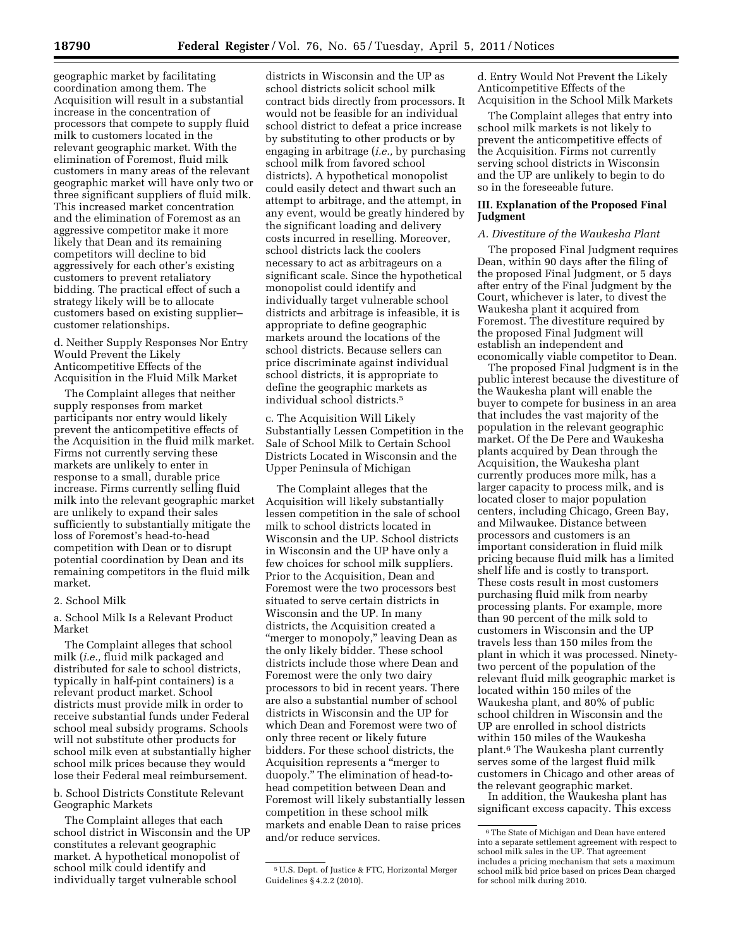geographic market by facilitating coordination among them. The Acquisition will result in a substantial increase in the concentration of processors that compete to supply fluid milk to customers located in the relevant geographic market. With the elimination of Foremost, fluid milk customers in many areas of the relevant geographic market will have only two or three significant suppliers of fluid milk. This increased market concentration and the elimination of Foremost as an aggressive competitor make it more likely that Dean and its remaining competitors will decline to bid aggressively for each other's existing customers to prevent retaliatory bidding. The practical effect of such a strategy likely will be to allocate customers based on existing supplier– customer relationships.

d. Neither Supply Responses Nor Entry Would Prevent the Likely Anticompetitive Effects of the Acquisition in the Fluid Milk Market

The Complaint alleges that neither supply responses from market participants nor entry would likely prevent the anticompetitive effects of the Acquisition in the fluid milk market. Firms not currently serving these markets are unlikely to enter in response to a small, durable price increase. Firms currently selling fluid milk into the relevant geographic market are unlikely to expand their sales sufficiently to substantially mitigate the loss of Foremost's head-to-head competition with Dean or to disrupt potential coordination by Dean and its remaining competitors in the fluid milk market.

#### 2. School Milk

a. School Milk Is a Relevant Product Market

The Complaint alleges that school milk (*i.e.,* fluid milk packaged and distributed for sale to school districts, typically in half-pint containers) is a relevant product market. School districts must provide milk in order to receive substantial funds under Federal school meal subsidy programs. Schools will not substitute other products for school milk even at substantially higher school milk prices because they would lose their Federal meal reimbursement.

b. School Districts Constitute Relevant Geographic Markets

The Complaint alleges that each school district in Wisconsin and the UP constitutes a relevant geographic market. A hypothetical monopolist of school milk could identify and individually target vulnerable school

districts in Wisconsin and the UP as school districts solicit school milk contract bids directly from processors. It would not be feasible for an individual school district to defeat a price increase by substituting to other products or by engaging in arbitrage (*i.e.,* by purchasing school milk from favored school districts). A hypothetical monopolist could easily detect and thwart such an attempt to arbitrage, and the attempt, in any event, would be greatly hindered by the significant loading and delivery costs incurred in reselling. Moreover, school districts lack the coolers necessary to act as arbitrageurs on a significant scale. Since the hypothetical monopolist could identify and individually target vulnerable school districts and arbitrage is infeasible, it is appropriate to define geographic markets around the locations of the school districts. Because sellers can price discriminate against individual school districts, it is appropriate to define the geographic markets as individual school districts.5

c. The Acquisition Will Likely Substantially Lessen Competition in the Sale of School Milk to Certain School Districts Located in Wisconsin and the Upper Peninsula of Michigan

The Complaint alleges that the Acquisition will likely substantially lessen competition in the sale of school milk to school districts located in Wisconsin and the UP. School districts in Wisconsin and the UP have only a few choices for school milk suppliers. Prior to the Acquisition, Dean and Foremost were the two processors best situated to serve certain districts in Wisconsin and the UP. In many districts, the Acquisition created a "merger to monopoly," leaving Dean as the only likely bidder. These school districts include those where Dean and Foremost were the only two dairy processors to bid in recent years. There are also a substantial number of school districts in Wisconsin and the UP for which Dean and Foremost were two of only three recent or likely future bidders. For these school districts, the Acquisition represents a ''merger to duopoly.'' The elimination of head-tohead competition between Dean and Foremost will likely substantially lessen competition in these school milk markets and enable Dean to raise prices and/or reduce services.

d. Entry Would Not Prevent the Likely Anticompetitive Effects of the Acquisition in the School Milk Markets

The Complaint alleges that entry into school milk markets is not likely to prevent the anticompetitive effects of the Acquisition. Firms not currently serving school districts in Wisconsin and the UP are unlikely to begin to do so in the foreseeable future.

## **III. Explanation of the Proposed Final Judgment**

## *A. Divestiture of the Waukesha Plant*

The proposed Final Judgment requires Dean, within 90 days after the filing of the proposed Final Judgment, or 5 days after entry of the Final Judgment by the Court, whichever is later, to divest the Waukesha plant it acquired from Foremost. The divestiture required by the proposed Final Judgment will establish an independent and economically viable competitor to Dean.

The proposed Final Judgment is in the public interest because the divestiture of the Waukesha plant will enable the buyer to compete for business in an area that includes the vast majority of the population in the relevant geographic market. Of the De Pere and Waukesha plants acquired by Dean through the Acquisition, the Waukesha plant currently produces more milk, has a larger capacity to process milk, and is located closer to major population centers, including Chicago, Green Bay, and Milwaukee. Distance between processors and customers is an important consideration in fluid milk pricing because fluid milk has a limited shelf life and is costly to transport. These costs result in most customers purchasing fluid milk from nearby processing plants. For example, more than 90 percent of the milk sold to customers in Wisconsin and the UP travels less than 150 miles from the plant in which it was processed. Ninetytwo percent of the population of the relevant fluid milk geographic market is located within 150 miles of the Waukesha plant, and 80% of public school children in Wisconsin and the UP are enrolled in school districts within 150 miles of the Waukesha plant.6 The Waukesha plant currently serves some of the largest fluid milk customers in Chicago and other areas of the relevant geographic market.

In addition, the Waukesha plant has significant excess capacity. This excess

<sup>5</sup>U.S. Dept. of Justice & FTC, Horizontal Merger Guidelines § 4.2.2 (2010).

<sup>6</sup>The State of Michigan and Dean have entered into a separate settlement agreement with respect to school milk sales in the UP. That agreement includes a pricing mechanism that sets a maximum school milk bid price based on prices Dean charged for school milk during 2010.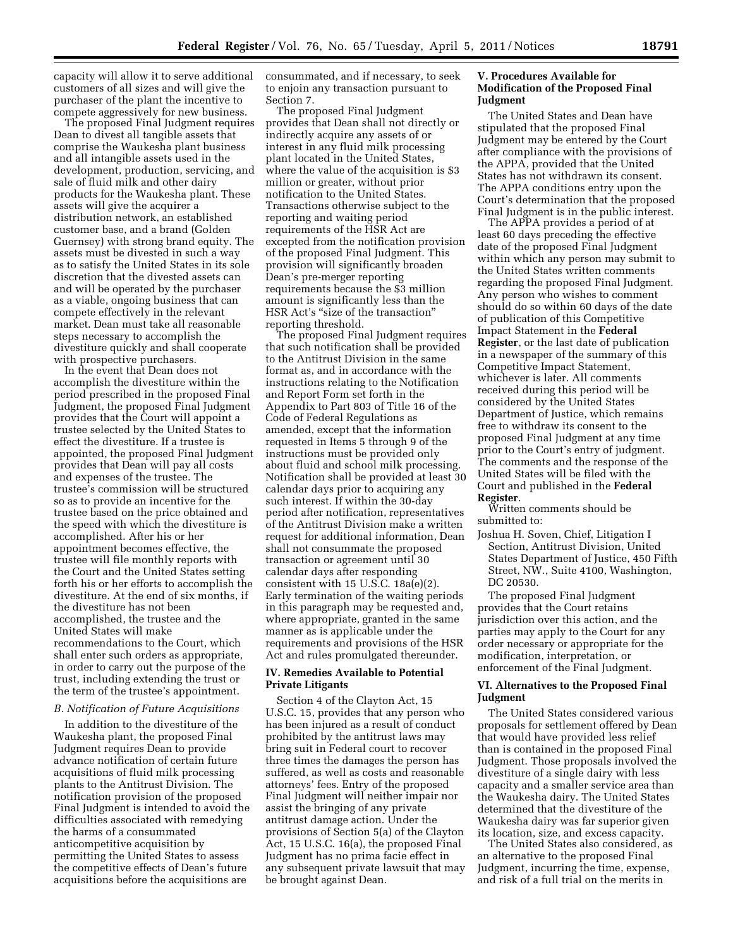capacity will allow it to serve additional customers of all sizes and will give the purchaser of the plant the incentive to compete aggressively for new business.

The proposed Final Judgment requires Dean to divest all tangible assets that comprise the Waukesha plant business and all intangible assets used in the development, production, servicing, and sale of fluid milk and other dairy products for the Waukesha plant. These assets will give the acquirer a distribution network, an established customer base, and a brand (Golden Guernsey) with strong brand equity. The assets must be divested in such a way as to satisfy the United States in its sole discretion that the divested assets can and will be operated by the purchaser as a viable, ongoing business that can compete effectively in the relevant market. Dean must take all reasonable steps necessary to accomplish the divestiture quickly and shall cooperate with prospective purchasers.

In the event that Dean does not accomplish the divestiture within the period prescribed in the proposed Final Judgment, the proposed Final Judgment provides that the Court will appoint a trustee selected by the United States to effect the divestiture. If a trustee is appointed, the proposed Final Judgment provides that Dean will pay all costs and expenses of the trustee. The trustee's commission will be structured so as to provide an incentive for the trustee based on the price obtained and the speed with which the divestiture is accomplished. After his or her appointment becomes effective, the trustee will file monthly reports with the Court and the United States setting forth his or her efforts to accomplish the divestiture. At the end of six months, if the divestiture has not been accomplished, the trustee and the United States will make recommendations to the Court, which shall enter such orders as appropriate, in order to carry out the purpose of the trust, including extending the trust or the term of the trustee's appointment.

## *B. Notification of Future Acquisitions*

In addition to the divestiture of the Waukesha plant, the proposed Final Judgment requires Dean to provide advance notification of certain future acquisitions of fluid milk processing plants to the Antitrust Division. The notification provision of the proposed Final Judgment is intended to avoid the difficulties associated with remedying the harms of a consummated anticompetitive acquisition by permitting the United States to assess the competitive effects of Dean's future acquisitions before the acquisitions are

consummated, and if necessary, to seek to enjoin any transaction pursuant to Section 7.

The proposed Final Judgment provides that Dean shall not directly or indirectly acquire any assets of or interest in any fluid milk processing plant located in the United States, where the value of the acquisition is \$3 million or greater, without prior notification to the United States. Transactions otherwise subject to the reporting and waiting period requirements of the HSR Act are excepted from the notification provision of the proposed Final Judgment. This provision will significantly broaden Dean's pre-merger reporting requirements because the \$3 million amount is significantly less than the HSR Act's "size of the transaction" reporting threshold.

The proposed Final Judgment requires that such notification shall be provided to the Antitrust Division in the same format as, and in accordance with the instructions relating to the Notification and Report Form set forth in the Appendix to Part 803 of Title 16 of the Code of Federal Regulations as amended, except that the information requested in Items 5 through 9 of the instructions must be provided only about fluid and school milk processing. Notification shall be provided at least 30 calendar days prior to acquiring any such interest. If within the 30-day period after notification, representatives of the Antitrust Division make a written request for additional information, Dean shall not consummate the proposed transaction or agreement until 30 calendar days after responding consistent with 15 U.S.C. 18a(e)(2). Early termination of the waiting periods in this paragraph may be requested and, where appropriate, granted in the same manner as is applicable under the requirements and provisions of the HSR Act and rules promulgated thereunder.

## **IV. Remedies Available to Potential Private Litigants**

Section 4 of the Clayton Act, 15 U.S.C. 15, provides that any person who has been injured as a result of conduct prohibited by the antitrust laws may bring suit in Federal court to recover three times the damages the person has suffered, as well as costs and reasonable attorneys' fees. Entry of the proposed Final Judgment will neither impair nor assist the bringing of any private antitrust damage action. Under the provisions of Section 5(a) of the Clayton Act, 15 U.S.C. 16(a), the proposed Final Judgment has no prima facie effect in any subsequent private lawsuit that may be brought against Dean.

## **V. Procedures Available for Modification of the Proposed Final Judgment**

The United States and Dean have stipulated that the proposed Final Judgment may be entered by the Court after compliance with the provisions of the APPA, provided that the United States has not withdrawn its consent. The APPA conditions entry upon the Court's determination that the proposed Final Judgment is in the public interest.

The APPA provides a period of at least 60 days preceding the effective date of the proposed Final Judgment within which any person may submit to the United States written comments regarding the proposed Final Judgment. Any person who wishes to comment should do so within 60 days of the date of publication of this Competitive Impact Statement in the **Federal Register**, or the last date of publication in a newspaper of the summary of this Competitive Impact Statement, whichever is later. All comments received during this period will be considered by the United States Department of Justice, which remains free to withdraw its consent to the proposed Final Judgment at any time prior to the Court's entry of judgment. The comments and the response of the United States will be filed with the Court and published in the **Federal Register**.

Written comments should be submitted to:

Joshua H. Soven, Chief, Litigation I Section, Antitrust Division, United States Department of Justice, 450 Fifth Street, NW., Suite 4100, Washington, DC 20530.

The proposed Final Judgment provides that the Court retains jurisdiction over this action, and the parties may apply to the Court for any order necessary or appropriate for the modification, interpretation, or enforcement of the Final Judgment.

## **VI. Alternatives to the Proposed Final Judgment**

The United States considered various proposals for settlement offered by Dean that would have provided less relief than is contained in the proposed Final Judgment. Those proposals involved the divestiture of a single dairy with less capacity and a smaller service area than the Waukesha dairy. The United States determined that the divestiture of the Waukesha dairy was far superior given its location, size, and excess capacity.

The United States also considered, as an alternative to the proposed Final Judgment, incurring the time, expense, and risk of a full trial on the merits in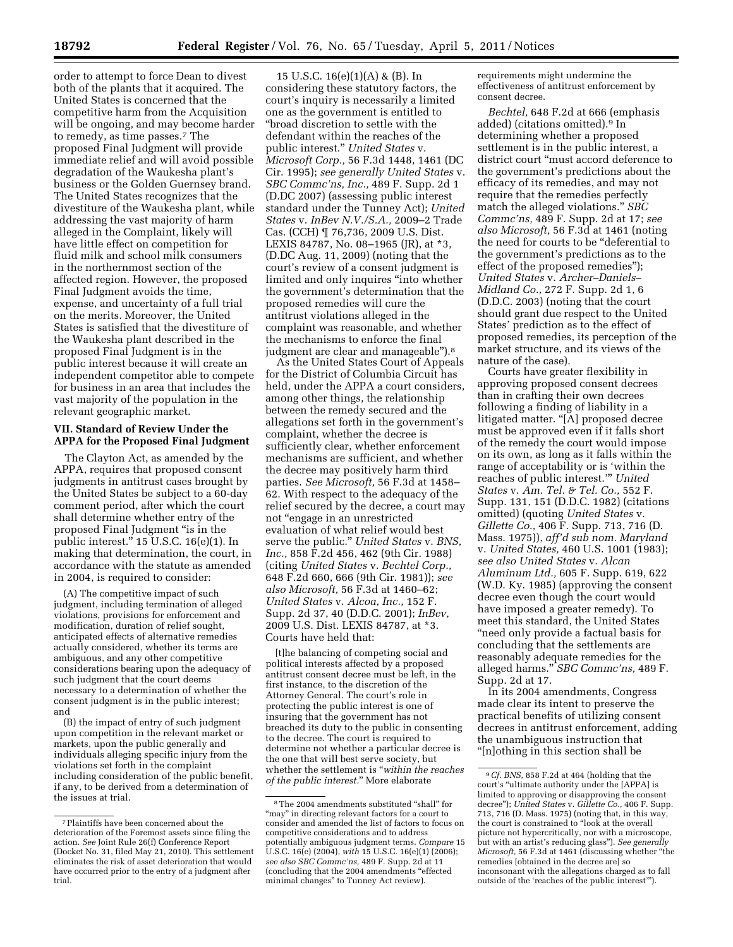order to attempt to force Dean to divest both of the plants that it acquired. The United States is concerned that the competitive harm from the Acquisition will be ongoing, and may become harder to remedy, as time passes.7 The proposed Final Judgment will provide immediate relief and will avoid possible degradation of the Waukesha plant's business or the Golden Guernsey brand. The United States recognizes that the divestiture of the Waukesha plant, while addressing the vast majority of harm alleged in the Complaint, likely will have little effect on competition for fluid milk and school milk consumers in the northernmost section of the affected region. However, the proposed Final Judgment avoids the time, expense, and uncertainty of a full trial on the merits. Moreover, the United States is satisfied that the divestiture of the Waukesha plant described in the proposed Final Judgment is in the public interest because it will create an independent competitor able to compete for business in an area that includes the

## **VII. Standard of Review Under the APPA for the Proposed Final Judgment**

vast majority of the population in the

relevant geographic market.

The Clayton Act, as amended by the APPA, requires that proposed consent judgments in antitrust cases brought by the United States be subject to a 60-day comment period, after which the court shall determine whether entry of the proposed Final Judgment ''is in the public interest.'' 15 U.S.C. 16(e)(1). In making that determination, the court, in accordance with the statute as amended in 2004, is required to consider:

(A) The competitive impact of such judgment, including termination of alleged violations, provisions for enforcement and modification, duration of relief sought, anticipated effects of alternative remedies actually considered, whether its terms are ambiguous, and any other competitive considerations bearing upon the adequacy of such judgment that the court deems necessary to a determination of whether the consent judgment is in the public interest; and

(B) the impact of entry of such judgment upon competition in the relevant market or markets, upon the public generally and individuals alleging specific injury from the violations set forth in the complaint including consideration of the public benefit, if any, to be derived from a determination of the issues at trial.

15 U.S.C. 16(e)(1)(A) & (B). In considering these statutory factors, the court's inquiry is necessarily a limited one as the government is entitled to ''broad discretion to settle with the defendant within the reaches of the public interest.'' *United States* v. *Microsoft Corp.,* 56 F.3d 1448, 1461 (DC Cir. 1995); *see generally United States* v. *SBC Commc'ns, Inc.,* 489 F. Supp. 2d 1 (D.DC 2007) (assessing public interest standard under the Tunney Act); *United States* v. *InBev N.V./S.A.,* 2009–2 Trade Cas. (CCH) ¶ 76,736, 2009 U.S. Dist. LEXIS 84787, No. 08–1965 (JR), at \*3, (D.DC Aug. 11, 2009) (noting that the court's review of a consent judgment is limited and only inquires "into whether the government's determination that the proposed remedies will cure the antitrust violations alleged in the complaint was reasonable, and whether the mechanisms to enforce the final judgment are clear and manageable'').8

As the United States Court of Appeals for the District of Columbia Circuit has held, under the APPA a court considers, among other things, the relationship between the remedy secured and the allegations set forth in the government's complaint, whether the decree is sufficiently clear, whether enforcement mechanisms are sufficient, and whether the decree may positively harm third parties. *See Microsoft,* 56 F.3d at 1458– 62. With respect to the adequacy of the relief secured by the decree, a court may not ''engage in an unrestricted evaluation of what relief would best serve the public.'' *United States* v. *BNS, Inc.,* 858 F.2d 456, 462 (9th Cir. 1988) (citing *United States* v. *Bechtel Corp.,*  648 F.2d 660, 666 (9th Cir. 1981)); *see also Microsoft,* 56 F.3d at 1460–62; *United States* v. *Alcoa, Inc.,* 152 F. Supp. 2d 37, 40 (D.D.C. 2001); *InBev,*  2009 U.S. Dist. LEXIS 84787, at \*3. Courts have held that:

[t]he balancing of competing social and political interests affected by a proposed antitrust consent decree must be left, in the first instance, to the discretion of the Attorney General. The court's role in protecting the public interest is one of insuring that the government has not breached its duty to the public in consenting to the decree. The court is required to determine not whether a particular decree is the one that will best serve society, but whether the settlement is ''*within the reaches of the public interest.*'' More elaborate

requirements might undermine the effectiveness of antitrust enforcement by consent decree.

*Bechtel,* 648 F.2d at 666 (emphasis added) (citations omitted).9 In determining whether a proposed settlement is in the public interest, a district court ''must accord deference to the government's predictions about the efficacy of its remedies, and may not require that the remedies perfectly match the alleged violations.'' *SBC Commc'ns,* 489 F. Supp. 2d at 17; *see also Microsoft,* 56 F.3d at 1461 (noting the need for courts to be "deferential to the government's predictions as to the effect of the proposed remedies''); *United States* v. *Archer–Daniels– Midland Co.,* 272 F. Supp. 2d 1, 6 (D.D.C. 2003) (noting that the court should grant due respect to the United States' prediction as to the effect of proposed remedies, its perception of the market structure, and its views of the nature of the case).

Courts have greater flexibility in approving proposed consent decrees than in crafting their own decrees following a finding of liability in a litigated matter. "[A] proposed decree must be approved even if it falls short of the remedy the court would impose on its own, as long as it falls within the range of acceptability or is 'within the reaches of public interest.''' *United States* v. *Am. Tel. & Tel. Co.,* 552 F. Supp. 131, 151 (D.D.C. 1982) (citations omitted) (quoting *United States* v. *Gillette Co.,* 406 F. Supp. 713, 716 (D. Mass. 1975)), *aff'd sub nom. Maryland*  v. *United States,* 460 U.S. 1001 (1983); *see also United States* v. *Alcan Aluminum Ltd.,* 605 F. Supp. 619, 622 (W.D. Ky. 1985) (approving the consent decree even though the court would have imposed a greater remedy). To meet this standard, the United States ''need only provide a factual basis for concluding that the settlements are reasonably adequate remedies for the alleged harms.'' *SBC Commc'ns,* 489 F. Supp. 2d at 17.

In its 2004 amendments, Congress made clear its intent to preserve the practical benefits of utilizing consent decrees in antitrust enforcement, adding the unambiguous instruction that ''[n]othing in this section shall be

<sup>7</sup>Plaintiffs have been concerned about the deterioration of the Foremost assets since filing the action. *See* Joint Rule 26(f) Conference Report (Docket No. 31, filed May 21, 2010). This settlement eliminates the risk of asset deterioration that would have occurred prior to the entry of a judgment after trial.

<sup>8</sup>The 2004 amendments substituted ''shall'' for "may" in directing relevant factors for a court to consider and amended the list of factors to focus on competitive considerations and to address potentially ambiguous judgment terms. *Compare* 15 U.S.C. 16(e) (2004), *with* 15 U.S.C. 16(e)(1) (2006); *see also SBC Commc'ns,* 489 F. Supp. 2d at 11 (concluding that the 2004 amendments ''effected minimal changes'' to Tunney Act review).

<sup>9</sup>*Cf. BNS,* 858 F.2d at 464 (holding that the court's ''ultimate authority under the [APPA] is limited to approving or disapproving the consent decree''); *United States* v. *Gillette Co.,* 406 F. Supp. 713, 716 (D. Mass. 1975) (noting that, in this way, the court is constrained to ''look at the overall picture not hypercritically, nor with a microscope, but with an artist's reducing glass''). *See generally Microsoft,* 56 F.3d at 1461 (discussing whether ''the remedies [obtained in the decree are] so inconsonant with the allegations charged as to fall outside of the 'reaches of the public interest''').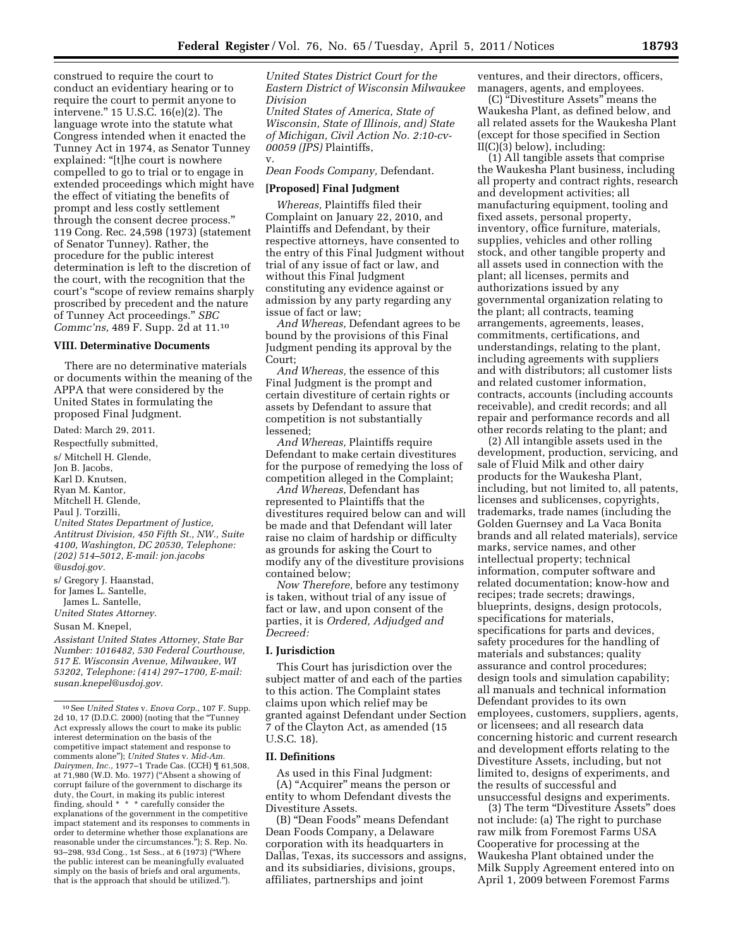construed to require the court to conduct an evidentiary hearing or to require the court to permit anyone to intervene.'' 15 U.S.C. 16(e)(2). The language wrote into the statute what Congress intended when it enacted the Tunney Act in 1974, as Senator Tunney explained: "[t]he court is nowhere compelled to go to trial or to engage in extended proceedings which might have the effect of vitiating the benefits of prompt and less costly settlement through the consent decree process.'' 119 Cong. Rec. 24,598 (1973) (statement of Senator Tunney). Rather, the procedure for the public interest determination is left to the discretion of the court, with the recognition that the court's ''scope of review remains sharply proscribed by precedent and the nature of Tunney Act proceedings.'' *SBC Commc'ns,* 489 F. Supp. 2d at 11.10

#### **VIII. Determinative Documents**

There are no determinative materials or documents within the meaning of the APPA that were considered by the United States in formulating the proposed Final Judgment.

Dated: March 29, 2011. Respectfully submitted, s/ Mitchell H. Glende, Jon B. Jacobs, Karl D. Knutsen, Ryan M. Kantor, Mitchell H. Glende, Paul J. Torzilli, *United States Department of Justice, Antitrust Division, 450 Fifth St., NW., Suite 4100, Washington, DC 20530, Telephone: (202) 514–5012, E-mail: jon.jacobs @usdoj.gov.*  s/ Gregory J. Haanstad,

for James L. Santelle, James L. Santelle,

*United States Attorney.* 

Susan M. Knepel,

*Assistant United States Attorney, State Bar Number: 1016482, 530 Federal Courthouse, 517 E. Wisconsin Avenue, Milwaukee, WI 53202, Telephone: (414) 297–1700, E-mail: [susan.knepel@usdoj.gov.](mailto:susan.knepel@usdoj.gov)* 

*United States District Court for the Eastern District of Wisconsin Milwaukee Division* 

*United States of America, State of Wisconsin, State of Illinois, and) State of Michigan, Civil Action No. 2:10-cv-00059 (JPS)* Plaintiffs, v.

*Dean Foods Company,* Defendant.

#### **[Proposed] Final Judgment**

*Whereas,* Plaintiffs filed their Complaint on January 22, 2010, and Plaintiffs and Defendant, by their respective attorneys, have consented to the entry of this Final Judgment without trial of any issue of fact or law, and without this Final Judgment constituting any evidence against or admission by any party regarding any issue of fact or law;

*And Whereas,* Defendant agrees to be bound by the provisions of this Final Judgment pending its approval by the Court;

*And Whereas,* the essence of this Final Judgment is the prompt and certain divestiture of certain rights or assets by Defendant to assure that competition is not substantially lessened;

*And Whereas,* Plaintiffs require Defendant to make certain divestitures for the purpose of remedying the loss of competition alleged in the Complaint;

*And Whereas,* Defendant has represented to Plaintiffs that the divestitures required below can and will be made and that Defendant will later raise no claim of hardship or difficulty as grounds for asking the Court to modify any of the divestiture provisions contained below;

*Now Therefore,* before any testimony is taken, without trial of any issue of fact or law, and upon consent of the parties, it is *Ordered, Adjudged and Decreed:* 

#### **I. Jurisdiction**

This Court has jurisdiction over the subject matter of and each of the parties to this action. The Complaint states claims upon which relief may be granted against Defendant under Section 7 of the Clayton Act, as amended (15 U.S.C. 18).

#### **II. Definitions**

As used in this Final Judgment: (A) ''Acquirer'' means the person or entity to whom Defendant divests the Divestiture Assets.

(B) ''Dean Foods'' means Defendant Dean Foods Company, a Delaware corporation with its headquarters in Dallas, Texas, its successors and assigns, and its subsidiaries, divisions, groups, affiliates, partnerships and joint

ventures, and their directors, officers, managers, agents, and employees.

(C) ''Divestiture Assets'' means the Waukesha Plant, as defined below, and all related assets for the Waukesha Plant (except for those specified in Section II(C)(3) below), including:

(1) All tangible assets that comprise the Waukesha Plant business, including all property and contract rights, research and development activities; all manufacturing equipment, tooling and fixed assets, personal property, inventory, office furniture, materials, supplies, vehicles and other rolling stock, and other tangible property and all assets used in connection with the plant; all licenses, permits and authorizations issued by any governmental organization relating to the plant; all contracts, teaming arrangements, agreements, leases, commitments, certifications, and understandings, relating to the plant, including agreements with suppliers and with distributors; all customer lists and related customer information, contracts, accounts (including accounts receivable), and credit records; and all repair and performance records and all other records relating to the plant; and

(2) All intangible assets used in the development, production, servicing, and sale of Fluid Milk and other dairy products for the Waukesha Plant, including, but not limited to, all patents, licenses and sublicenses, copyrights, trademarks, trade names (including the Golden Guernsey and La Vaca Bonita brands and all related materials), service marks, service names, and other intellectual property; technical information, computer software and related documentation; know-how and recipes; trade secrets; drawings, blueprints, designs, design protocols, specifications for materials, specifications for parts and devices, safety procedures for the handling of materials and substances; quality assurance and control procedures; design tools and simulation capability; all manuals and technical information Defendant provides to its own employees, customers, suppliers, agents, or licensees; and all research data concerning historic and current research and development efforts relating to the Divestiture Assets, including, but not limited to, designs of experiments, and the results of successful and unsuccessful designs and experiments.

(3) The term ''Divestiture Assets'' does not include: (a) The right to purchase raw milk from Foremost Farms USA Cooperative for processing at the Waukesha Plant obtained under the Milk Supply Agreement entered into on April 1, 2009 between Foremost Farms

<sup>10</sup>See *United States* v. *Enova Corp.,* 107 F. Supp. 2d 10, 17 (D.D.C. 2000) (noting that the ''Tunney Act expressly allows the court to make its public interest determination on the basis of the competitive impact statement and response to comments alone''); *United States* v. *Mid-Am. Dairymen, Inc.,* 1977–1 Trade Cas. (CCH) ¶ 61,508, at 71,980 (W.D. Mo. 1977) ("Absent a showing of corrupt failure of the government to discharge its duty, the Court, in making its public interest finding, should \* \* \* carefully consider the explanations of the government in the competitive impact statement and its responses to comments in order to determine whether those explanations are reasonable under the circumstances.''); S. Rep. No. 93–298, 93d Cong., 1st Sess., at 6 (1973) (''Where the public interest can be meaningfully evaluated simply on the basis of briefs and oral arguments, that is the approach that should be utilized.'').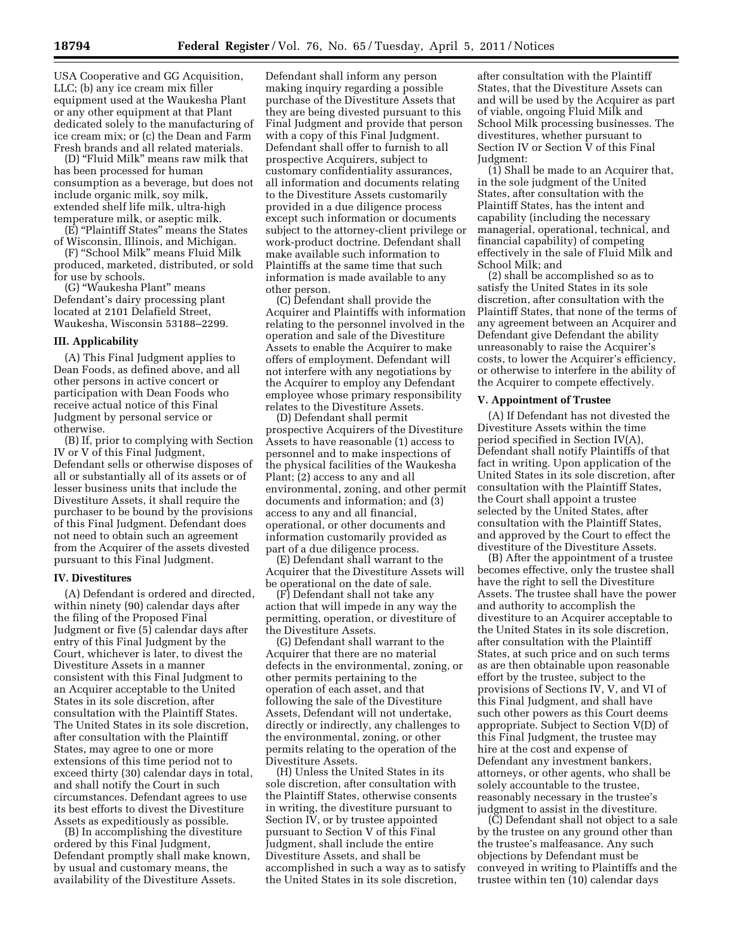USA Cooperative and GG Acquisition, LLC; (b) any ice cream mix filler equipment used at the Waukesha Plant or any other equipment at that Plant dedicated solely to the manufacturing of ice cream mix; or (c) the Dean and Farm Fresh brands and all related materials.

(D) ''Fluid Milk'' means raw milk that has been processed for human consumption as a beverage, but does not include organic milk, soy milk, extended shelf life milk, ultra-high temperature milk, or aseptic milk.

(E) ''Plaintiff States'' means the States of Wisconsin, Illinois, and Michigan.

(F) ''School Milk'' means Fluid Milk produced, marketed, distributed, or sold for use by schools.

(G) ''Waukesha Plant'' means Defendant's dairy processing plant located at 2101 Delafield Street, Waukesha, Wisconsin 53188–2299.

## **III. Applicability**

(A) This Final Judgment applies to Dean Foods, as defined above, and all other persons in active concert or participation with Dean Foods who receive actual notice of this Final Judgment by personal service or otherwise.

(B) If, prior to complying with Section IV or V of this Final Judgment, Defendant sells or otherwise disposes of all or substantially all of its assets or of lesser business units that include the Divestiture Assets, it shall require the purchaser to be bound by the provisions of this Final Judgment. Defendant does not need to obtain such an agreement from the Acquirer of the assets divested pursuant to this Final Judgment.

#### **IV. Divestitures**

(A) Defendant is ordered and directed, within ninety (90) calendar days after the filing of the Proposed Final Judgment or five (5) calendar days after entry of this Final Judgment by the Court, whichever is later, to divest the Divestiture Assets in a manner consistent with this Final Judgment to an Acquirer acceptable to the United States in its sole discretion, after consultation with the Plaintiff States. The United States in its sole discretion, after consultation with the Plaintiff States, may agree to one or more extensions of this time period not to exceed thirty (30) calendar days in total, and shall notify the Court in such circumstances. Defendant agrees to use its best efforts to divest the Divestiture Assets as expeditiously as possible.

(B) In accomplishing the divestiture ordered by this Final Judgment, Defendant promptly shall make known, by usual and customary means, the availability of the Divestiture Assets.

Defendant shall inform any person making inquiry regarding a possible purchase of the Divestiture Assets that they are being divested pursuant to this Final Judgment and provide that person with a copy of this Final Judgment. Defendant shall offer to furnish to all prospective Acquirers, subject to customary confidentiality assurances, all information and documents relating to the Divestiture Assets customarily provided in a due diligence process except such information or documents subject to the attorney-client privilege or work-product doctrine. Defendant shall make available such information to Plaintiffs at the same time that such information is made available to any other person.

(C) Defendant shall provide the Acquirer and Plaintiffs with information relating to the personnel involved in the operation and sale of the Divestiture Assets to enable the Acquirer to make offers of employment. Defendant will not interfere with any negotiations by the Acquirer to employ any Defendant employee whose primary responsibility relates to the Divestiture Assets.

(D) Defendant shall permit prospective Acquirers of the Divestiture Assets to have reasonable (1) access to personnel and to make inspections of the physical facilities of the Waukesha Plant; (2) access to any and all environmental, zoning, and other permit documents and information; and (3) access to any and all financial, operational, or other documents and information customarily provided as part of a due diligence process.

(E) Defendant shall warrant to the Acquirer that the Divestiture Assets will be operational on the date of sale.

(F) Defendant shall not take any action that will impede in any way the permitting, operation, or divestiture of the Divestiture Assets.

(G) Defendant shall warrant to the Acquirer that there are no material defects in the environmental, zoning, or other permits pertaining to the operation of each asset, and that following the sale of the Divestiture Assets, Defendant will not undertake, directly or indirectly, any challenges to the environmental, zoning, or other permits relating to the operation of the Divestiture Assets.

(H) Unless the United States in its sole discretion, after consultation with the Plaintiff States, otherwise consents in writing, the divestiture pursuant to Section IV, or by trustee appointed pursuant to Section V of this Final Judgment, shall include the entire Divestiture Assets, and shall be accomplished in such a way as to satisfy the United States in its sole discretion,

after consultation with the Plaintiff States, that the Divestiture Assets can and will be used by the Acquirer as part of viable, ongoing Fluid Milk and School Milk processing businesses. The divestitures, whether pursuant to Section IV or Section V of this Final Judgment:

(1) Shall be made to an Acquirer that, in the sole judgment of the United States, after consultation with the Plaintiff States, has the intent and capability (including the necessary managerial, operational, technical, and financial capability) of competing effectively in the sale of Fluid Milk and School Milk; and

(2) shall be accomplished so as to satisfy the United States in its sole discretion, after consultation with the Plaintiff States, that none of the terms of any agreement between an Acquirer and Defendant give Defendant the ability unreasonably to raise the Acquirer's costs, to lower the Acquirer's efficiency, or otherwise to interfere in the ability of the Acquirer to compete effectively.

#### **V. Appointment of Trustee**

(A) If Defendant has not divested the Divestiture Assets within the time period specified in Section IV(A), Defendant shall notify Plaintiffs of that fact in writing. Upon application of the United States in its sole discretion, after consultation with the Plaintiff States, the Court shall appoint a trustee selected by the United States, after consultation with the Plaintiff States, and approved by the Court to effect the divestiture of the Divestiture Assets.

(B) After the appointment of a trustee becomes effective, only the trustee shall have the right to sell the Divestiture Assets. The trustee shall have the power and authority to accomplish the divestiture to an Acquirer acceptable to the United States in its sole discretion, after consultation with the Plaintiff States, at such price and on such terms as are then obtainable upon reasonable effort by the trustee, subject to the provisions of Sections IV, V, and VI of this Final Judgment, and shall have such other powers as this Court deems appropriate. Subject to Section V(D) of this Final Judgment, the trustee may hire at the cost and expense of Defendant any investment bankers, attorneys, or other agents, who shall be solely accountable to the trustee, reasonably necessary in the trustee's judgment to assist in the divestiture.

(C) Defendant shall not object to a sale by the trustee on any ground other than the trustee's malfeasance. Any such objections by Defendant must be conveyed in writing to Plaintiffs and the trustee within ten (10) calendar days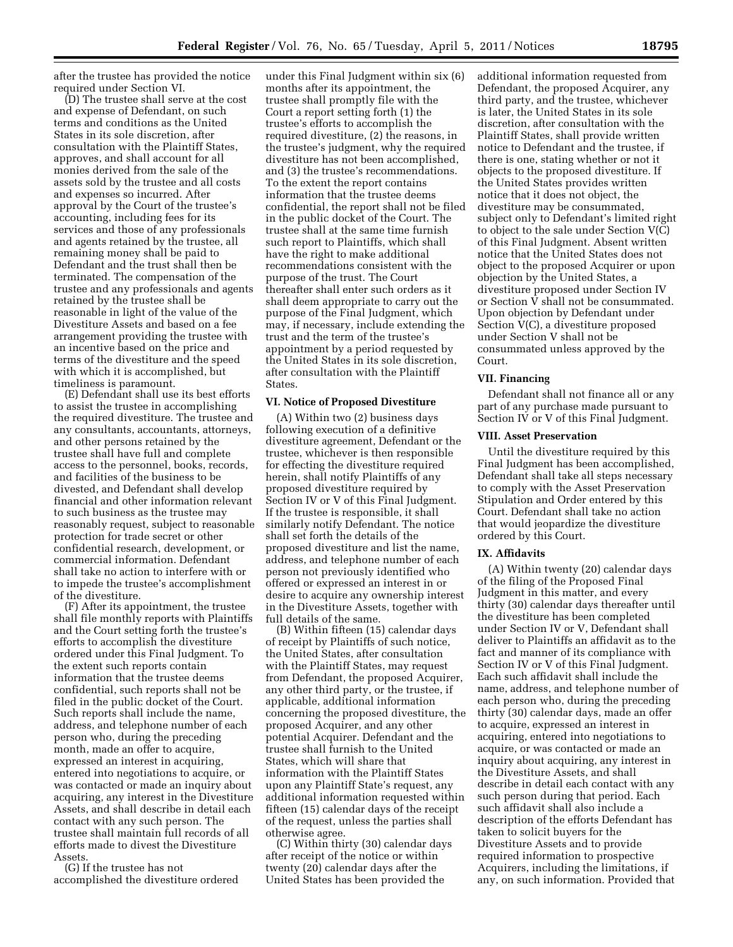after the trustee has provided the notice required under Section VI.

(D) The trustee shall serve at the cost and expense of Defendant, on such terms and conditions as the United States in its sole discretion, after consultation with the Plaintiff States, approves, and shall account for all monies derived from the sale of the assets sold by the trustee and all costs and expenses so incurred. After approval by the Court of the trustee's accounting, including fees for its services and those of any professionals and agents retained by the trustee, all remaining money shall be paid to Defendant and the trust shall then be terminated. The compensation of the trustee and any professionals and agents retained by the trustee shall be reasonable in light of the value of the Divestiture Assets and based on a fee arrangement providing the trustee with an incentive based on the price and terms of the divestiture and the speed with which it is accomplished, but timeliness is paramount.

(E) Defendant shall use its best efforts to assist the trustee in accomplishing the required divestiture. The trustee and any consultants, accountants, attorneys, and other persons retained by the trustee shall have full and complete access to the personnel, books, records, and facilities of the business to be divested, and Defendant shall develop financial and other information relevant to such business as the trustee may reasonably request, subject to reasonable protection for trade secret or other confidential research, development, or commercial information. Defendant shall take no action to interfere with or to impede the trustee's accomplishment of the divestiture.

(F) After its appointment, the trustee shall file monthly reports with Plaintiffs and the Court setting forth the trustee's efforts to accomplish the divestiture ordered under this Final Judgment. To the extent such reports contain information that the trustee deems confidential, such reports shall not be filed in the public docket of the Court. Such reports shall include the name, address, and telephone number of each person who, during the preceding month, made an offer to acquire, expressed an interest in acquiring, entered into negotiations to acquire, or was contacted or made an inquiry about acquiring, any interest in the Divestiture Assets, and shall describe in detail each contact with any such person. The trustee shall maintain full records of all efforts made to divest the Divestiture Assets.

(G) If the trustee has not accomplished the divestiture ordered

under this Final Judgment within six (6) months after its appointment, the trustee shall promptly file with the Court a report setting forth (1) the trustee's efforts to accomplish the required divestiture, (2) the reasons, in the trustee's judgment, why the required divestiture has not been accomplished, and (3) the trustee's recommendations. To the extent the report contains information that the trustee deems confidential, the report shall not be filed in the public docket of the Court. The trustee shall at the same time furnish such report to Plaintiffs, which shall have the right to make additional recommendations consistent with the purpose of the trust. The Court thereafter shall enter such orders as it shall deem appropriate to carry out the purpose of the Final Judgment, which may, if necessary, include extending the trust and the term of the trustee's appointment by a period requested by the United States in its sole discretion, after consultation with the Plaintiff States.

## **VI. Notice of Proposed Divestiture**

(A) Within two (2) business days following execution of a definitive divestiture agreement, Defendant or the trustee, whichever is then responsible for effecting the divestiture required herein, shall notify Plaintiffs of any proposed divestiture required by Section IV or V of this Final Judgment. If the trustee is responsible, it shall similarly notify Defendant. The notice shall set forth the details of the proposed divestiture and list the name, address, and telephone number of each person not previously identified who offered or expressed an interest in or desire to acquire any ownership interest in the Divestiture Assets, together with full details of the same.

(B) Within fifteen (15) calendar days of receipt by Plaintiffs of such notice, the United States, after consultation with the Plaintiff States, may request from Defendant, the proposed Acquirer, any other third party, or the trustee, if applicable, additional information concerning the proposed divestiture, the proposed Acquirer, and any other potential Acquirer. Defendant and the trustee shall furnish to the United States, which will share that information with the Plaintiff States upon any Plaintiff State's request, any additional information requested within fifteen (15) calendar days of the receipt of the request, unless the parties shall otherwise agree.

(C) Within thirty (30) calendar days after receipt of the notice or within twenty (20) calendar days after the United States has been provided the

additional information requested from Defendant, the proposed Acquirer, any third party, and the trustee, whichever is later, the United States in its sole discretion, after consultation with the Plaintiff States, shall provide written notice to Defendant and the trustee, if there is one, stating whether or not it objects to the proposed divestiture. If the United States provides written notice that it does not object, the divestiture may be consummated, subject only to Defendant's limited right to object to the sale under Section V(C) of this Final Judgment. Absent written notice that the United States does not object to the proposed Acquirer or upon objection by the United States, a divestiture proposed under Section IV or Section V shall not be consummated. Upon objection by Defendant under Section V(C), a divestiture proposed under Section V shall not be consummated unless approved by the Court.

#### **VII. Financing**

Defendant shall not finance all or any part of any purchase made pursuant to Section IV or V of this Final Judgment.

## **VIII. Asset Preservation**

Until the divestiture required by this Final Judgment has been accomplished, Defendant shall take all steps necessary to comply with the Asset Preservation Stipulation and Order entered by this Court. Defendant shall take no action that would jeopardize the divestiture ordered by this Court.

## **IX. Affidavits**

(A) Within twenty (20) calendar days of the filing of the Proposed Final Judgment in this matter, and every thirty (30) calendar days thereafter until the divestiture has been completed under Section IV or V, Defendant shall deliver to Plaintiffs an affidavit as to the fact and manner of its compliance with Section IV or V of this Final Judgment. Each such affidavit shall include the name, address, and telephone number of each person who, during the preceding thirty (30) calendar days, made an offer to acquire, expressed an interest in acquiring, entered into negotiations to acquire, or was contacted or made an inquiry about acquiring, any interest in the Divestiture Assets, and shall describe in detail each contact with any such person during that period. Each such affidavit shall also include a description of the efforts Defendant has taken to solicit buyers for the Divestiture Assets and to provide required information to prospective Acquirers, including the limitations, if any, on such information. Provided that